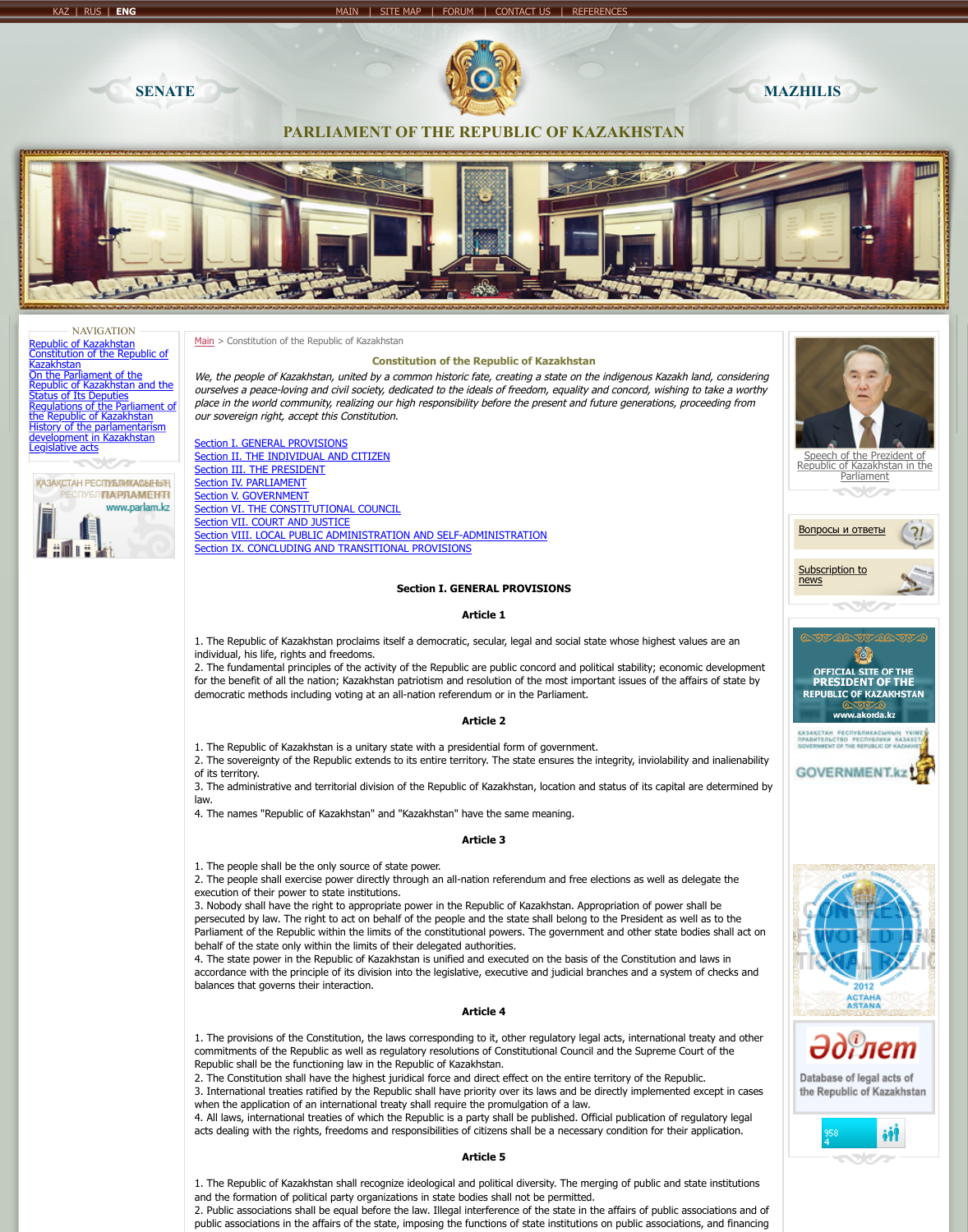



# **PARLIAMENT OF THE REPUBLIC OF KAZAKHSTAN**







#### **Constitution of the Republic of Kazakhstan**

We, the people of Kazakhstan, united by a common historic fate, creating a state on the indigenous Kazakh land, considering ourselves a peace-loving and civil society, dedicated to the ideals of freedom, equality and concord, wishing to take a worthy place in the world community, realizing our high responsibility before the present and future generations, proceeding from our sovereign right, accept this Constitution.

[Section I. GENERAL PROVISIONS](http://www.parlam.kz/en/constitution#_Toc150237529) [Section II. THE INDIVIDUAL AND CITIZEN](http://www.parlam.kz/en/constitution#_Toc150237530) [Section III. THE PRESIDENT](http://www.parlam.kz/en/constitution#_Toc150237531) [Section IV. PARLIAMENT](http://www.parlam.kz/en/constitution#_Toc150237532) [Section V. GOVERNMENT](http://www.parlam.kz/en/constitution#_Toc150237533) [Section VI. THE CONSTITUTIONAL COUNCIL](http://www.parlam.kz/en/constitution#_Toc150237534) [Section VII. COURT AND JUSTICE](http://www.parlam.kz/en/constitution#_Toc150237535) [Section VIII. LOCAL PUBLIC ADMINISTRATION AND SELF-ADMINISTRATION](http://www.parlam.kz/en/constitution#_Toc150237536) [Section IX. CONCLUDING AND TRANSITIONAL PROVISIONS](http://www.parlam.kz/en/constitution#_Toc150237537)

#### **Section I. GENERAL PROVISIONS**

#### **Article 1**

1. The Republic of Kazakhstan proclaims itself a democratic, secular, legal and social state whose highest values are an individual, his life, rights and freedoms.

2. The fundamental principles of the activity of the Republic are public concord and political stability; economic development for the benefit of all the nation; Kazakhstan patriotism and resolution of the most important issues of the affairs of state by democratic methods including voting at an all-nation referendum or in the Parliament.

#### **Article 2**

1. The Republic of Kazakhstan is a unitary state with a presidential form of government.

2. The sovereignty of the Republic extends to its entire territory. The state ensures the integrity, inviolability and inalienability of its territory.

3. The administrative and territorial division of the Republic of Kazakhstan, location and status of its capital are determined by law.

4. The names "Republic of Kazakhstan" and "Kazakhstan" have the same meaning.

#### **Article 3**

1. The people shall be the only source of state power.

2. The people shall exercise power directly through an all-nation referendum and free elections as well as delegate the execution of their power to state institutions.

[Constitution of the Republic of](http://www.parlam.kz/en/constitution) Kazakhstan On the Parliament of the [Republic of Kazakhstan and the](http://www.parlam.kz/en/status) Status of Its Deputies [Regulations of the Parliament of](http://www.parlam.kz/en/regulation) the Republic of Kazakhstan [History of the parlamentarism](http://www.parlam.kz/en/history) development in Kazakhstan **Paislative acts NAVIGATION** 



**[Republic of Kazakhstan](http://www.parlam.kz/en/kazakhstan)**  $\vert \vert$  [Main](http://www.parlam.kz/en) > Constitution of the Republic of Kazakhstan

3. Nobody shall have the right to appropriate power in the Republic of Kazakhstan. Appropriation of power shall be persecuted by law. The right to act on behalf of the people and the state shall belong to the President as well as to the Parliament of the Republic within the limits of the constitutional powers. The government and other state bodies shall act on behalf of the state only within the limits of their delegated authorities.

4. The state power in the Republic of Kazakhstan is unified and executed on the basis of the Constitution and laws in accordance with the principle of its division into the legislative, executive and judicial branches and a system of checks and balances that governs their interaction.

# **Article 4**

1. The provisions of the Constitution, the laws corresponding to it, other regulatory legal acts, international treaty and other commitments of the Republic as well as regulatory resolutions of Constitutional Council and the Supreme Court of the Republic shall be the functioning law in the Republic of Kazakhstan.

2. The Constitution shall have the highest juridical force and direct effect on the entire territory of the Republic.

3. International treaties ratified by the Republic shall have priority over its laws and be directly implemented except in cases when the application of an international treaty shall require the promulgation of a law.

4. All laws, international treaties of which the Republic is a party shall be published. Official publication of regulatory legal acts dealing with the rights, freedoms and responsibilities of citizens shall be a necessary condition for their application.

#### **Article 5**

1. The Republic of Kazakhstan shall recognize ideological and political diversity. The merging of public and state institutions and the formation of political party organizations in state bodies shall not be permitted.

2. Public associations shall be equal before the law. Illegal interference of the state in the affairs of public associations and of public associations in the affairs of the state, imposing the functions of state institutions on public associations, and financing

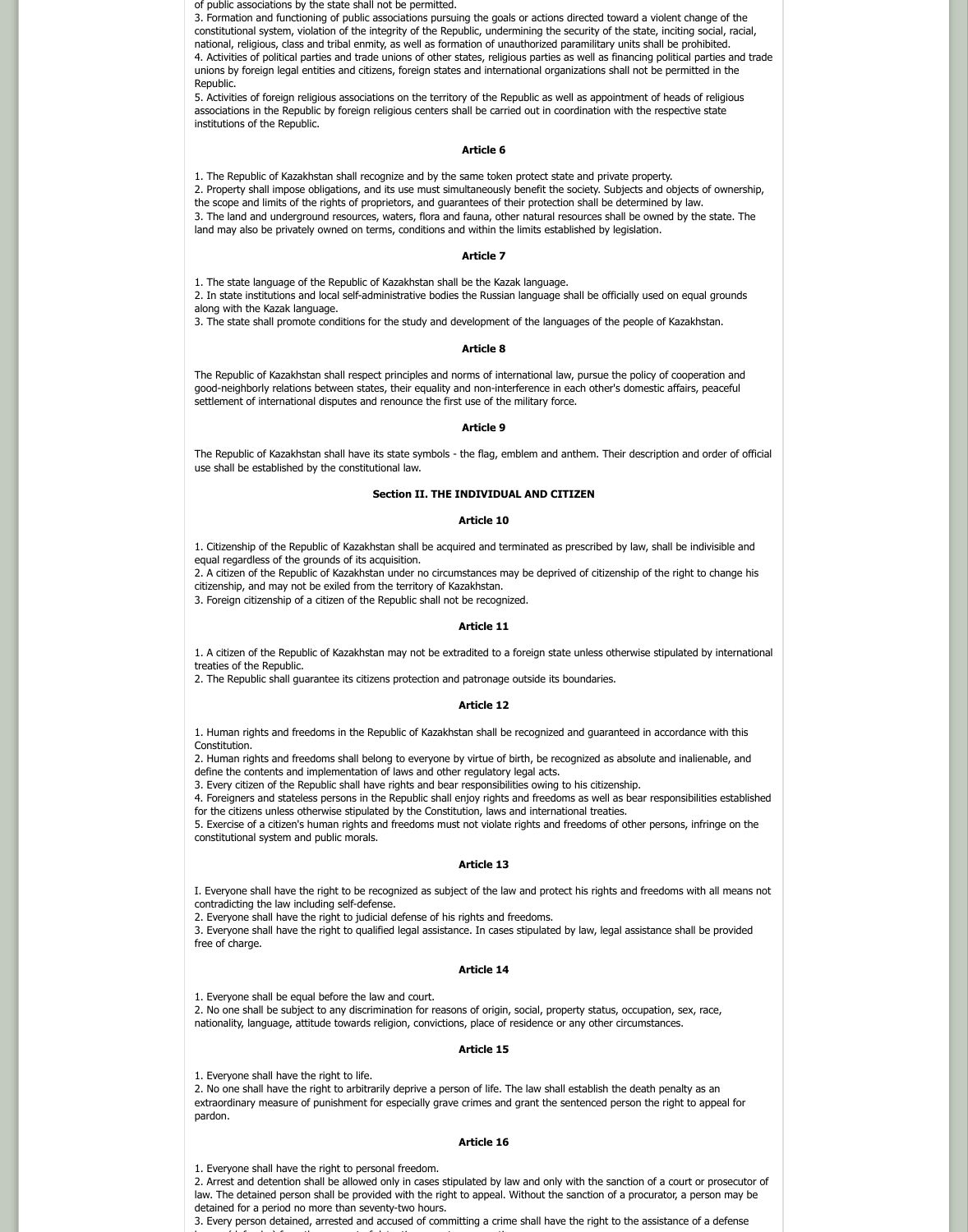of public associations by the state shall not be permitted.

3. Formation and functioning of public associations pursuing the goals or actions directed toward a violent change of the constitutional system, violation of the integrity of the Republic, undermining the security of the state, inciting social, racial, national, religious, class and tribal enmity, as well as formation of unauthorized paramilitary units shall be prohibited. 4. Activities of political parties and trade unions of other states, religious parties as well as financing political parties and trade unions by foreign legal entities and citizens, foreign states and international organizations shall not be permitted in the Republic.

5. Activities of foreign religious associations on the territory of the Republic as well as appointment of heads of religious associations in the Republic by foreign religious centers shall be carried out in coordination with the respective state institutions of the Republic.

#### **Article 6**

1. The Republic of Kazakhstan shall recognize and by the same token protect state and private property. 2. Property shall impose obligations, and its use must simultaneously benefit the society. Subjects and objects of ownership, the scope and limits of the rights of proprietors, and guarantees of their protection shall be determined by law. 3. The land and underground resources, waters, flora and fauna, other natural resources shall be owned by the state. The land may also be privately owned on terms, conditions and within the limits established by legislation.

#### **Article 7**

1. The state language of the Republic of Kazakhstan shall be the Kazak language.

2. In state institutions and local self-administrative bodies the Russian language shall be officially used on equal grounds along with the Kazak language.

3. The state shall promote conditions for the study and development of the languages of the people of Kazakhstan.

#### **Article 8**

The Republic of Kazakhstan shall respect principles and norms of international law, pursue the policy of cooperation and good-neighborly relations between states, their equality and non-interference in each other's domestic affairs, peaceful settlement of international disputes and renounce the first use of the military force.

#### **Article 9**

The Republic of Kazakhstan shall have its state symbols - the flag, emblem and anthem. Their description and order of official use shall be established by the constitutional law.

## **Section II. THE INDIVIDUAL AND CITIZEN**

# **Article 10**

1. Citizenship of the Republic of Kazakhstan shall be acquired and terminated as prescribed by law, shall be indivisible and equal regardless of the grounds of its acquisition.

2. A citizen of the Republic of Kazakhstan under no circumstances may be deprived of citizenship of the right to change his citizenship, and may not be exiled from the territory of Kazakhstan.

3. Foreign citizenship of a citizen of the Republic shall not be recognized.

#### **Article 11**

1. A citizen of the Republic of Kazakhstan may not be extradited to a foreign state unless otherwise stipulated by international treaties of the Republic.

2. The Republic shall guarantee its citizens protection and patronage outside its boundaries.

#### **Article 12**

1. Human rights and freedoms in the Republic of Kazakhstan shall be recognized and guaranteed in accordance with this Constitution.

2. Human rights and freedoms shall belong to everyone by virtue of birth, be recognized as absolute and inalienable, and define the contents and implementation of laws and other regulatory legal acts.

3. Every citizen of the Republic shall have rights and bear responsibilities owing to his citizenship.

4. Foreigners and stateless persons in the Republic shall enjoy rights and freedoms as well as bear responsibilities established for the citizens unless otherwise stipulated by the Constitution, laws and international treaties.

5. Exercise of a citizen's human rights and freedoms must not violate rights and freedoms of other persons, infringe on the constitutional system and public morals.

# **Article 13**

I. Everyone shall have the right to be recognized as subject of the law and protect his rights and freedoms with all means not contradicting the law including self-defense.

2. Everyone shall have the right to judicial defense of his rights and freedoms.

3. Everyone shall have the right to qualified legal assistance. In cases stipulated by law, legal assistance shall be provided free of charge.

#### **Article 14**

1. Everyone shall be equal before the law and court.

2. No one shall be subject to any discrimination for reasons of origin, social, property status, occupation, sex, race, nationality, language, attitude towards religion, convictions, place of residence or any other circumstances.

#### **Article 15**

1. Everyone shall have the right to life.

2. No one shall have the right to arbitrarily deprive a person of life. The law shall establish the death penalty as an extraordinary measure of punishment for especially grave crimes and grant the sentenced person the right to appeal for pardon.

#### **Article 16**

1. Everyone shall have the right to personal freedom.

2. Arrest and detention shall be allowed only in cases stipulated by law and only with the sanction of a court or prosecutor of law. The detained person shall be provided with the right to appeal. Without the sanction of a procurator, a person may be detained for a period no more than seventy-two hours.

3. Every person detained, arrested and accused of committing a crime shall have the right to the assistance of a defense lawyer (defender) from the moment of detention, arrest or accusation.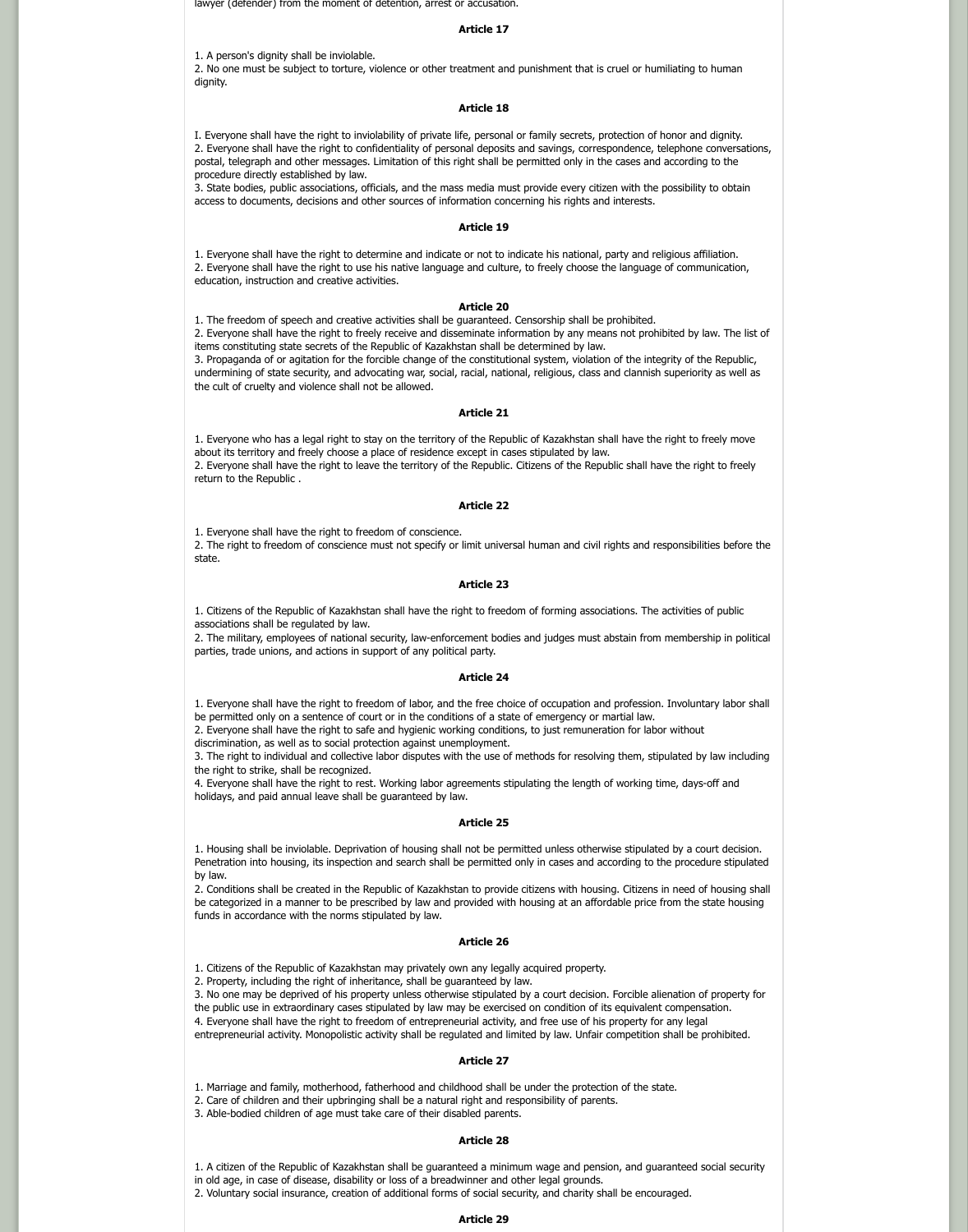lawyer (defender) from the moment of detention, arrest or accusation.

#### **Article 17**

1. A person's dignity shall be inviolable.

2. No one must be subject to torture, violence or other treatment and punishment that is cruel or humiliating to human dignity.

#### **Article 18**

I. Everyone shall have the right to inviolability of private life, personal or family secrets, protection of honor and dignity. 2. Everyone shall have the right to confidentiality of personal deposits and savings, correspondence, telephone conversations, postal, telegraph and other messages. Limitation of this right shall be permitted only in the cases and according to the procedure directly established by law.

3. State bodies, public associations, officials, and the mass media must provide every citizen with the possibility to obtain access to documents, decisions and other sources of information concerning his rights and interests.

#### **Article 19**

1. Everyone shall have the right to determine and indicate or not to indicate his national, party and religious affiliation. 2. Everyone shall have the right to use his native language and culture, to freely choose the language of communication, education, instruction and creative activities.

#### **Article 20**

1. The freedom of speech and creative activities shall be guaranteed. Censorship shall be prohibited. 2. Everyone shall have the right to freely receive and disseminate information by any means not prohibited by law. The list of items constituting state secrets of the Republic of Kazakhstan shall be determined by law. 3. Propaganda of or agitation for the forcible change of the constitutional system, violation of the integrity of the Republic, undermining of state security, and advocating war, social, racial, national, religious, class and clannish superiority as well as the cult of cruelty and violence shall not be allowed.

#### **Article 21**

1. Everyone who has a legal right to stay on the territory of the Republic of Kazakhstan shall have the right to freely move about its territory and freely choose a place of residence except in cases stipulated by law.

2. Everyone shall have the right to leave the territory of the Republic. Citizens of the Republic shall have the right to freely return to the Republic .

#### **Article 22**

1. Everyone shall have the right to freedom of conscience.

2. The right to freedom of conscience must not specify or limit universal human and civil rights and responsibilities before the state.

#### **Article 23**

1. Citizens of the Republic of Kazakhstan shall have the right to freedom of forming associations. The activities of public associations shall be regulated by law.

2. The military, employees of national security, law-enforcement bodies and judges must abstain from membership in political parties, trade unions, and actions in support of any political party.

# **Article 24**

1. Everyone shall have the right to freedom of labor, and the free choice of occupation and profession. Involuntary labor shall be permitted only on a sentence of court or in the conditions of a state of emergency or martial law.

2. Everyone shall have the right to safe and hygienic working conditions, to just remuneration for labor without

discrimination, as well as to social protection against unemployment.

3. The right to individual and collective labor disputes with the use of methods for resolving them, stipulated by law including the right to strike, shall be recognized.

4. Everyone shall have the right to rest. Working labor agreements stipulating the length of working time, days-off and holidays, and paid annual leave shall be guaranteed by law.

#### **Article 25**

1. Housing shall be inviolable. Deprivation of housing shall not be permitted unless otherwise stipulated by a court decision.

Penetration into housing, its inspection and search shall be permitted only in cases and according to the procedure stipulated by law.

2. Conditions shall be created in the Republic of Kazakhstan to provide citizens with housing. Citizens in need of housing shall be categorized in a manner to be prescribed by law and provided with housing at an affordable price from the state housing funds in accordance with the norms stipulated by law.

# **Article 26**

1. Citizens of the Republic of Kazakhstan may privately own any legally acquired property.

2. Property, including the right of inheritance, shall be guaranteed by law.

3. No one may be deprived of his property unless otherwise stipulated by a court decision. Forcible alienation of property for the public use in extraordinary cases stipulated by law may be exercised on condition of its equivalent compensation. 4. Everyone shall have the right to freedom of entrepreneurial activity, and free use of his property for any legal entrepreneurial activity. Monopolistic activity shall be regulated and limited by law. Unfair competition shall be prohibited.

#### **Article 27**

1. Marriage and family, motherhood, fatherhood and childhood shall be under the protection of the state.

2. Care of children and their upbringing shall be a natural right and responsibility of parents.

3. Able-bodied children of age must take care of their disabled parents.

#### **Article 28**

1. A citizen of the Republic of Kazakhstan shall be guaranteed a minimum wage and pension, and guaranteed social security in old age, in case of disease, disability or loss of a breadwinner and other legal grounds.

2. Voluntary social insurance, creation of additional forms of social security, and charity shall be encouraged.

## **Article 29**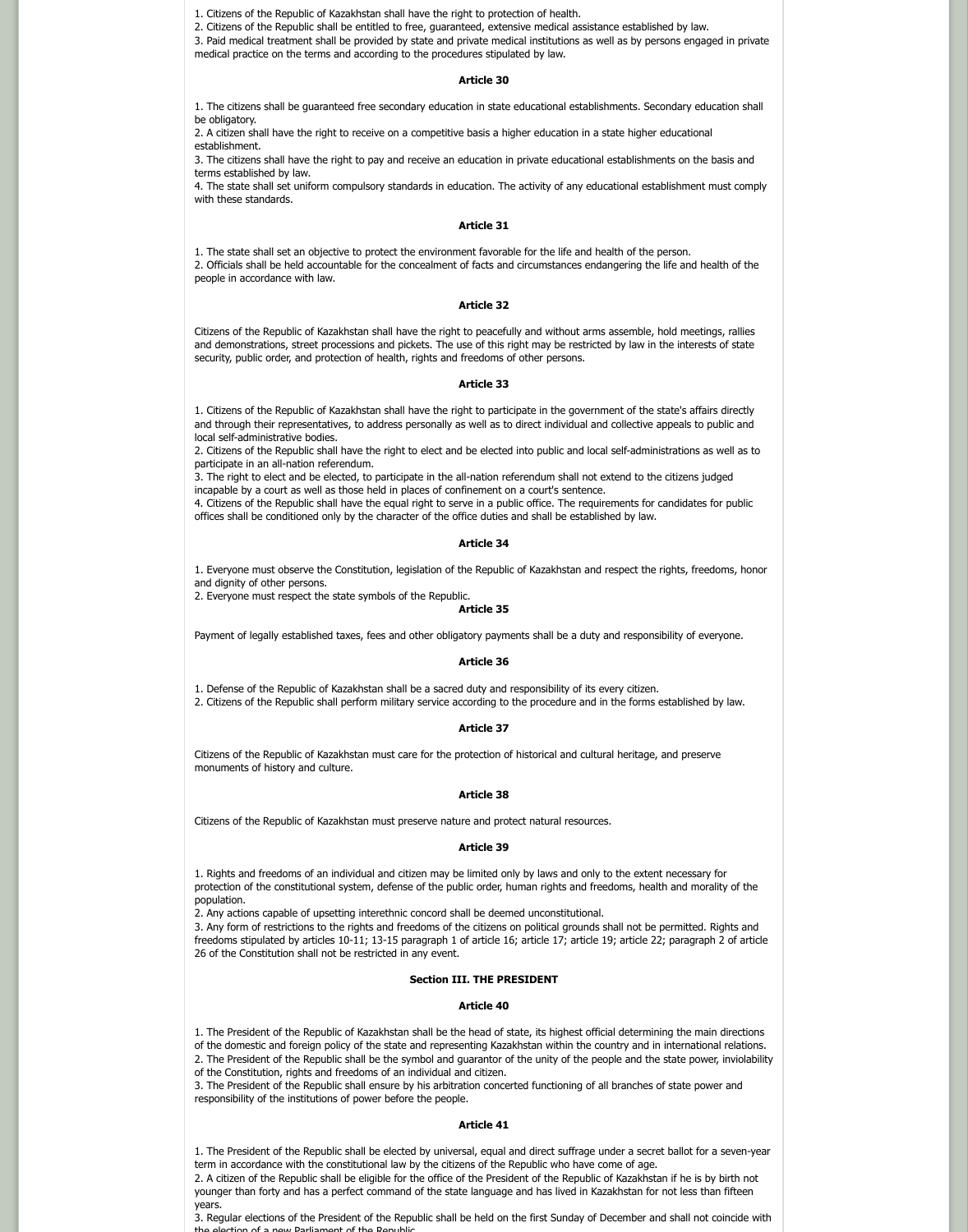1. Citizens of the Republic of Kazakhstan shall have the right to protection of health.

2. Citizens of the Republic shall be entitled to free, guaranteed, extensive medical assistance established by law.

3. Paid medical treatment shall be provided by state and private medical institutions as well as by persons engaged in private medical practice on the terms and according to the procedures stipulated by law.

#### **Article 30**

1. The citizens shall be guaranteed free secondary education in state educational establishments. Secondary education shall be obligatory.

2. A citizen shall have the right to receive on a competitive basis a higher education in a state higher educational establishment.

3. The citizens shall have the right to pay and receive an education in private educational establishments on the basis and terms established by law.

4. The state shall set uniform compulsory standards in education. The activity of any educational establishment must comply with these standards.

#### **Article 31**

1. The state shall set an objective to protect the environment favorable for the life and health of the person. 2. Officials shall be held accountable for the concealment of facts and circumstances endangering the life and health of the people in accordance with law.

#### **Article 32**

Citizens of the Republic of Kazakhstan shall have the right to peacefully and without arms assemble, hold meetings, rallies and demonstrations, street processions and pickets. The use of this right may be restricted by law in the interests of state security, public order, and protection of health, rights and freedoms of other persons.

#### **Article 33**

1. Citizens of the Republic of Kazakhstan shall have the right to participate in the government of the state's affairs directly and through their representatives, to address personally as well as to direct individual and collective appeals to public and local self-administrative bodies.

2. Citizens of the Republic shall have the right to elect and be elected into public and local self-administrations as well as to participate in an all-nation referendum.

3. The right to elect and be elected, to participate in the all-nation referendum shall not extend to the citizens judged incapable by a court as well as those held in places of confinement on a court's sentence.

4. Citizens of the Republic shall have the equal right to serve in a public office. The requirements for candidates for public offices shall be conditioned only by the character of the office duties and shall be established by law.

#### **Article 34**

1. Everyone must observe the Constitution, legislation of the Republic of Kazakhstan and respect the rights, freedoms, honor and dignity of other persons.

2. Everyone must respect the state symbols of the Republic.

#### **Article 35**

Payment of legally established taxes, fees and other obligatory payments shall be a duty and responsibility of everyone.

#### **Article 36**

1. Defense of the Republic of Kazakhstan shall be a sacred duty and responsibility of its every citizen.

2. Citizens of the Republic shall perform military service according to the procedure and in the forms established by law.

#### **Article 37**

Citizens of the Republic of Kazakhstan must care for the protection of historical and cultural heritage, and preserve monuments of history and culture.

#### **Article 38**

Citizens of the Republic of Kazakhstan must preserve nature and protect natural resources.

#### **Article 39**

1. Rights and freedoms of an individual and citizen may be limited only by laws and only to the extent necessary for protection of the constitutional system, defense of the public order, human rights and freedoms, health and morality of the population.

2. Any actions capable of upsetting interethnic concord shall be deemed unconstitutional.

3. Any form of restrictions to the rights and freedoms of the citizens on political grounds shall not be permitted. Rights and freedoms stipulated by articles 10-11; 13-15 paragraph 1 of article 16; article 17; article 19; article 22; paragraph 2 of article 26 of the Constitution shall not be restricted in any event.

#### **Section III. THE PRESIDENT**

#### **Article 40**

1. The President of the Republic of Kazakhstan shall be the head of state, its highest official determining the main directions of the domestic and foreign policy of the state and representing Kazakhstan within the country and in international relations. 2. The President of the Republic shall be the symbol and guarantor of the unity of the people and the state power, inviolability of the Constitution, rights and freedoms of an individual and citizen.

3. The President of the Republic shall ensure by his arbitration concerted functioning of all branches of state power and responsibility of the institutions of power before the people.

#### **Article 41**

1. The President of the Republic shall be elected by universal, equal and direct suffrage under a secret ballot for a seven-year term in accordance with the constitutional law by the citizens of the Republic who have come of age.

2. A citizen of the Republic shall be eligible for the office of the President of the Republic of Kazakhstan if he is by birth not younger than forty and has a perfect command of the state language and has lived in Kazakhstan for not less than fifteen years.

3. Regular elections of the President of the Republic shall be held on the first Sunday of December and shall not coincide with the election of a new Parliament of the Republic.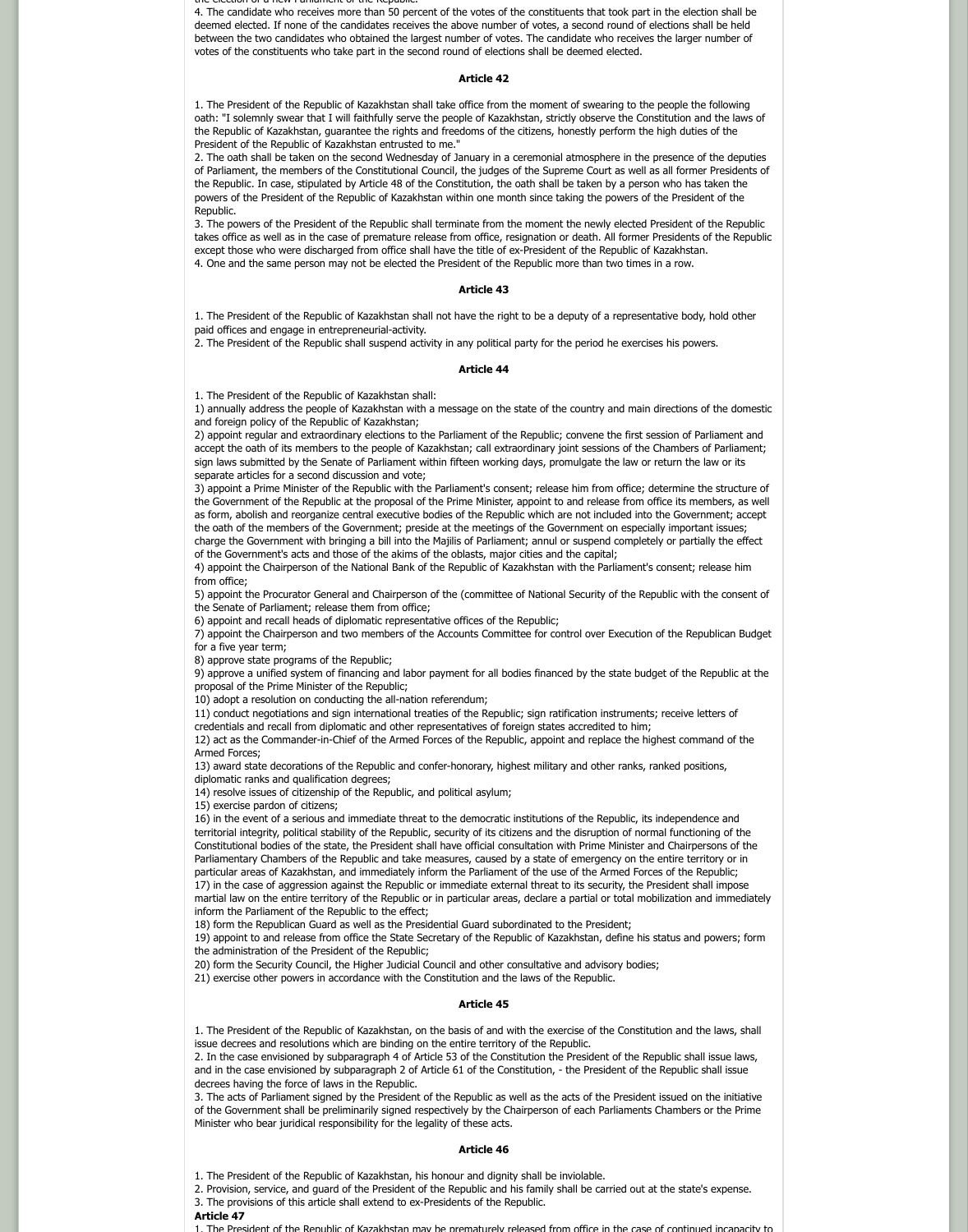the election of a new Parliament of the Republic.

4. The candidate who receives more than 50 percent of the votes of the constituents that took part in the election shall be deemed elected. If none of the candidates receives the above number of votes, a second round of elections shall be held between the two candidates who obtained the largest number of votes. The candidate who receives the larger number of votes of the constituents who take part in the second round of elections shall be deemed elected.

#### **Article 42**

1. The President of the Republic of Kazakhstan shall take office from the moment of swearing to the people the following oath: "I solemnly swear that I will faithfully serve the people of Kazakhstan, strictly observe the Constitution and the laws of the Republic of Kazakhstan, guarantee the rights and freedoms of the citizens, honestly perform the high duties of the President of the Republic of Kazakhstan entrusted to me."

2. The oath shall be taken on the second Wednesday of January in a ceremonial atmosphere in the presence of the deputies of Parliament, the members of the Constitutional Council, the judges of the Supreme Court as well as all former Presidents of the Republic. In case, stipulated by Article 48 of the Constitution, the oath shall be taken by a person who has taken the powers of the President of the Republic of Kazakhstan within one month since taking the powers of the President of the Republic.

3. The powers of the President of the Republic shall terminate from the moment the newly elected President of the Republic takes office as well as in the case of premature release from office, resignation or death. All former Presidents of the Republic except those who were discharged from office shall have the title of ex-President of the Republic of Kazakhstan. 4. One and the same person may not be elected the President of the Republic more than two times in a row.

#### **Article 43**

1. The President of the Republic of Kazakhstan shall not have the right to be a deputy of a representative body, hold other paid offices and engage in entrepreneurial-activity.

2. The President of the Republic shall suspend activity in any political party for the period he exercises his powers.

#### **Article 44**

1. The President of the Republic of Kazakhstan shall:

1) annually address the people of Kazakhstan with a message on the state of the country and main directions of the domestic and foreign policy of the Republic of Kazakhstan;

2) appoint regular and extraordinary elections to the Parliament of the Republic; convene the first session of Parliament and accept the oath of its members to the people of Kazakhstan; call extraordinary joint sessions of the Chambers of Parliament; sign laws submitted by the Senate of Parliament within fifteen working days, promulgate the law or return the law or its separate articles for a second discussion and vote;

3) appoint a Prime Minister of the Republic with the Parliament's consent; release him from office; determine the structure of the Government of the Republic at the proposal of the Prime Minister, appoint to and release from office its members, as well as form, abolish and reorganize central executive bodies of the Republic which are not included into the Government; accept the oath of the members of the Government; preside at the meetings of the Government on especially important issues;

charge the Government with bringing a bill into the Majilis of Parliament; annul or suspend completely or partially the effect of the Government's acts and those of the akims of the oblasts, major cities and the capital;

4) appoint the Chairperson of the National Bank of the Republic of Kazakhstan with the Parliament's consent; release him from office;

5) appoint the Procurator General and Chairperson of the (committee of National Security of the Republic with the consent of the Senate of Parliament; release them from office;

6) appoint and recall heads of diplomatic representative offices of the Republic;

7) appoint the Chairperson and two members of the Accounts Committee for control over Execution of the Republican Budget for a five year term;

8) approve state programs of the Republic;

9) approve a unified system of financing and labor payment for all bodies financed by the state budget of the Republic at the proposal of the Prime Minister of the Republic;

10) adopt a resolution on conducting the all-nation referendum;

11) conduct negotiations and sign international treaties of the Republic; sign ratification instruments; receive letters of credentials and recall from diplomatic and other representatives of foreign states accredited to him;

12) act as the Commander-in-Chief of the Armed Forces of the Republic, appoint and replace the highest command of the Armed Forces;

13) award state decorations of the Republic and confer-honorary, highest military and other ranks, ranked positions,

diplomatic ranks and qualification degrees;

14) resolve issues of citizenship of the Republic, and political asylum;

15) exercise pardon of citizens;

16) in the event of a serious and immediate threat to the democratic institutions of the Republic, its independence and territorial integrity, political stability of the Republic, security of its citizens and the disruption of normal functioning of the Constitutional bodies of the state, the President shall have official consultation with Prime Minister and Chairpersons of the Parliamentary Chambers of the Republic and take measures, caused by a state of emergency on the entire territory or in particular areas of Kazakhstan, and immediately inform the Parliament of the use of the Armed Forces of the Republic; 17) in the case of aggression against the Republic or immediate external threat to its security, the President shall impose martial law on the entire territory of the Republic or in particular areas, declare a partial or total mobilization and immediately inform the Parliament of the Republic to the effect;

18) form the Republican Guard as well as the Presidential Guard subordinated to the President;

19) appoint to and release from office the State Secretary of the Republic of Kazakhstan, define his status and powers; form the administration of the President of the Republic;

20) form the Security Council, the Higher Judicial Council and other consultative and advisory bodies;

21) exercise other powers in accordance with the Constitution and the laws of the Republic.

#### **Article 45**

1. The President of the Republic of Kazakhstan, on the basis of and with the exercise of the Constitution and the laws, shall issue decrees and resolutions which are binding on the entire territory of the Republic.

2. In the case envisioned by subparagraph 4 of Article 53 of the Constitution the President of the Republic shall issue laws, and in the case envisioned by subparagraph 2 of Article 61 of the Constitution, - the President of the Republic shall issue decrees having the force of laws in the Republic.

3. The acts of Parliament signed by the President of the Republic as well as the acts of the President issued on the initiative of the Government shall be preliminarily signed respectively by the Chairperson of each Parliaments Chambers or the Prime Minister who bear juridical responsibility for the legality of these acts.

# **Article 46**

1. The President of the Republic of Kazakhstan, his honour and dignity shall be inviolable.

2. Provision, service, and guard of the President of the Republic and his family shall be carried out at the state's expense.

3. The provisions of this article shall extend to ex-Presidents of the Republic.

#### **Article 47**

1. The President of the Republic of Kazakhstan may be prematurely released from office in the case of continued incapacity to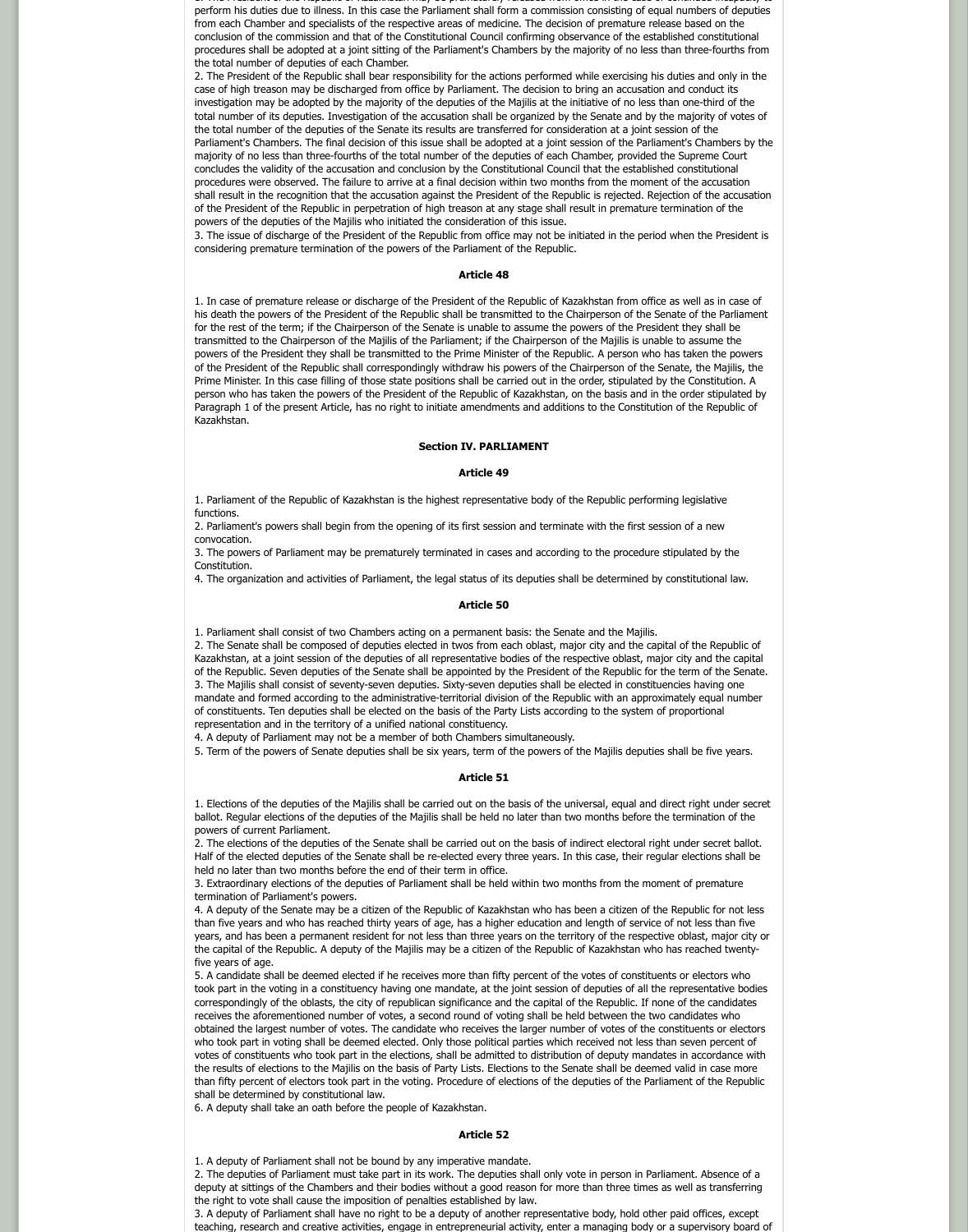1. The President of the Republic of Kazakhstan may be prematurely released from office in the case of continued incapacity to perform his duties due to illness. In this case the Parliament shall form a commission consisting of equal numbers of deputies from each Chamber and specialists of the respective areas of medicine. The decision of premature release based on the conclusion of the commission and that of the Constitutional Council confirming observance of the established constitutional procedures shall be adopted at a joint sitting of the Parliament's Chambers by the majority of no less than three-fourths from the total number of deputies of each Chamber.

2. The President of the Republic shall bear responsibility for the actions performed while exercising his duties and only in the case of high treason may be discharged from office by Parliament. The decision to bring an accusation and conduct its investigation may be adopted by the majority of the deputies of the Majilis at the initiative of no less than one-third of the total number of its deputies. Investigation of the accusation shall be organized by the Senate and by the majority of votes of the total number of the deputies of the Senate its results are transferred for consideration at a joint session of the Parliament's Chambers. The final decision of this issue shall be adopted at a joint session of the Parliament's Chambers by the majority of no less than three-fourths of the total number of the deputies of each Chamber, provided the Supreme Court concludes the validity of the accusation and conclusion by the Constitutional Council that the established constitutional procedures were observed. The failure to arrive at a final decision within two months from the moment of the accusation shall result in the recognition that the accusation against the President of the Republic is rejected. Rejection of the accusation of the President of the Republic in perpetration of high treason at any stage shall result in premature termination of the powers of the deputies of the Majilis who initiated the consideration of this issue.

3. The issue of discharge of the President of the Republic from office may not be initiated in the period when the President is considering premature termination of the powers of the Parliament of the Republic.

#### **Article 48**

1. In case of premature release or discharge of the President of the Republic of Kazakhstan from office as well as in case of his death the powers of the President of the Republic shall be transmitted to the Chairperson of the Senate of the Parliament for the rest of the term; if the Chairperson of the Senate is unable to assume the powers of the President they shall be transmitted to the Chairperson of the Majilis of the Parliament; if the Chairperson of the Majilis is unable to assume the powers of the President they shall be transmitted to the Prime Minister of the Republic. A person who has taken the powers of the President of the Republic shall correspondingly withdraw his powers of the Chairperson of the Senate, the Majilis, the Prime Minister. In this case filling of those state positions shall be carried out in the order, stipulated by the Constitution. A person who has taken the powers of the President of the Republic of Kazakhstan, on the basis and in the order stipulated by Paragraph 1 of the present Article, has no right to initiate amendments and additions to the Constitution of the Republic of Kazakhstan.

#### **Section IV. PARLIAMENT**

#### **Article 49**

1. Parliament of the Republic of Kazakhstan is the highest representative body of the Republic performing legislative functions.

2. Parliament's powers shall begin from the opening of its first session and terminate with the first session of a new convocation.

3. The powers of Parliament may be prematurely terminated in cases and according to the procedure stipulated by the Constitution.

4. The organization and activities of Parliament, the legal status of its deputies shall be determined by constitutional law.

#### **Article 50**

1. Parliament shall consist of two Chambers acting on a permanent basis: the Senate and the Majilis.

2. The Senate shall be composed of deputies elected in twos from each oblast, major city and the capital of the Republic of Kazakhstan, at a joint session of the deputies of all representative bodies of the respective oblast, major city and the capital of the Republic. Seven deputies of the Senate shall be appointed by the President of the Republic for the term of the Senate. 3. The Majilis shall consist of seventy-seven deputies. Sixty-seven deputies shall be elected in constituencies having one mandate and formed according to the administrative-territorial division of the Republic with an approximately equal number of constituents. Ten deputies shall be elected on the basis of the Party Lists according to the system of proportional representation and in the territory of a unified national constituency.

4. A deputy of Parliament may not be a member of both Chambers simultaneously.

5. Term of the powers of Senate deputies shall be six years, term of the powers of the Majilis deputies shall be five years.

#### **Article 51**

1. Elections of the deputies of the Majilis shall be carried out on the basis of the universal, equal and direct right under secret ballot. Regular elections of the deputies of the Majilis shall be held no later than two months before the termination of the powers of current Parliament.

2. The elections of the deputies of the Senate shall be carried out on the basis of indirect electoral right under secret ballot.

Half of the elected deputies of the Senate shall be re-elected every three years. In this case, their regular elections shall be held no later than two months before the end of their term in office.

3. Extraordinary elections of the deputies of Parliament shall be held within two months from the moment of premature termination of Parliament's powers.

4. A deputy of the Senate may be a citizen of the Republic of Kazakhstan who has been a citizen of the Republic for not less than five years and who has reached thirty years of age, has a higher education and length of service of not less than five years, and has been a permanent resident for not less than three years on the territory of the respective oblast, major city or the capital of the Republic. A deputy of the Majilis may be a citizen of the Republic of Kazakhstan who has reached twentyfive years of age.

5. A candidate shall be deemed elected if he receives more than fifty percent of the votes of constituents or electors who took part in the voting in a constituency having one mandate, at the joint session of deputies of all the representative bodies correspondingly of the oblasts, the city of republican significance and the capital of the Republic. If none of the candidates receives the aforementioned number of votes, a second round of voting shall be held between the two candidates who obtained the largest number of votes. The candidate who receives the larger number of votes of the constituents or electors who took part in voting shall be deemed elected. Only those political parties which received not less than seven percent of votes of constituents who took part in the elections, shall be admitted to distribution of deputy mandates in accordance with the results of elections to the Majilis on the basis of Party Lists. Elections to the Senate shall be deemed valid in case more than fifty percent of electors took part in the voting. Procedure of elections of the deputies of the Parliament of the Republic shall be determined by constitutional law.

6. A deputy shall take an oath before the people of Kazakhstan.

# **Article 52**

1. A deputy of Parliament shall not be bound by any imperative mandate.

2. The deputies of Parliament must take part in its work. The deputies shall only vote in person in Parliament. Absence of a deputy at sittings of the Chambers and their bodies without a good reason for more than three times as well as transferring the right to vote shall cause the imposition of penalties established by law.

3. A deputy of Parliament shall have no right to be a deputy of another representative body, hold other paid offices, except teaching, research and creative activities, engage in entrepreneurial activity, enter a managing body or a supervisory board of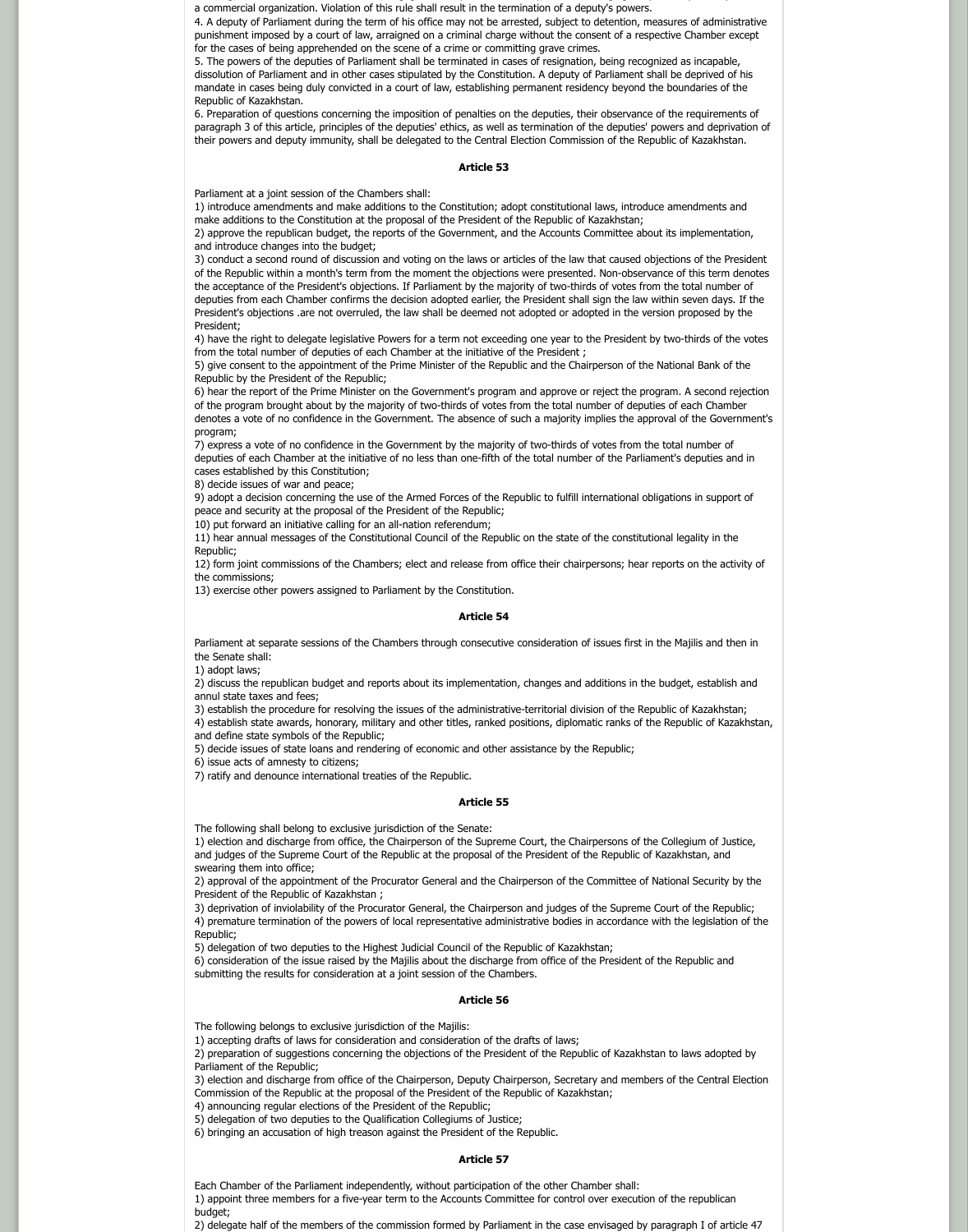teaching, research and creative activities, engage in entrepreneurial activity, enter a managing body or a supervisory board of a commercial organization. Violation of this rule shall result in the termination of a deputy's powers.

4. A deputy of Parliament during the term of his office may not be arrested, subject to detention, measures of administrative punishment imposed by a court of law, arraigned on a criminal charge without the consent of a respective Chamber except for the cases of being apprehended on the scene of a crime or committing grave crimes.

5. The powers of the deputies of Parliament shall be terminated in cases of resignation, being recognized as incapable, dissolution of Parliament and in other cases stipulated by the Constitution. A deputy of Parliament shall be deprived of his mandate in cases being duly convicted in a court of law, establishing permanent residency beyond the boundaries of the Republic of Kazakhstan.

6. Preparation of questions concerning the imposition of penalties on the deputies, their observance of the requirements of paragraph 3 of this article, principles of the deputies' ethics, as well as termination of the deputies' powers and deprivation of their powers and deputy immunity, shall be delegated to the Central Election Commission of the Republic of Kazakhstan.

#### **Article 53**

Parliament at a joint session of the Chambers shall:

1) introduce amendments and make additions to the Constitution; adopt constitutional laws, introduce amendments and make additions to the Constitution at the proposal of the President of the Republic of Kazakhstan;

2) approve the republican budget, the reports of the Government, and the Accounts Committee about its implementation, and introduce changes into the budget;

3) conduct a second round of discussion and voting on the laws or articles of the law that caused objections of the President of the Republic within a month's term from the moment the objections were presented. Non-observance of this term denotes the acceptance of the President's objections. If Parliament by the majority of two-thirds of votes from the total number of deputies from each Chamber confirms the decision adopted earlier, the President shall sign the law within seven days. If the President's objections .are not overruled, the law shall be deemed not adopted or adopted in the version proposed by the President;

4) have the right to delegate legislative Powers for a term not exceeding one year to the President by two-thirds of the votes from the total number of deputies of each Chamber at the initiative of the President ;

5) give consent to the appointment of the Prime Minister of the Republic and the Chairperson of the National Bank of the Republic by the President of the Republic;

6) hear the report of the Prime Minister on the Government's program and approve or reject the program. A second rejection of the program brought about by the majority of two-thirds of votes from the total number of deputies of each Chamber denotes a vote of no confidence in the Government. The absence of such a majority implies the approval of the Government's program;

7) express a vote of no confidence in the Government by the majority of two-thirds of votes from the total number of deputies of each Chamber at the initiative of no less than one-fifth of the total number of the Parliament's deputies and in cases established by this Constitution;

8) decide issues of war and peace;

9) adopt a decision concerning the use of the Armed Forces of the Republic to fulfill international obligations in support of peace and security at the proposal of the President of the Republic;

10) put forward an initiative calling for an all-nation referendum;

11) hear annual messages of the Constitutional Council of the Republic on the state of the constitutional legality in the Republic;

12) form joint commissions of the Chambers; elect and release from office their chairpersons; hear reports on the activity of the commissions;

13) exercise other powers assigned to Parliament by the Constitution.

#### **Article 54**

Parliament at separate sessions of the Chambers through consecutive consideration of issues first in the Majilis and then in the Senate shall:

1) adopt laws;

2) discuss the republican budget and reports about its implementation, changes and additions in the budget, establish and annul state taxes and fees;

3) establish the procedure for resolving the issues of the administrative-territorial division of the Republic of Kazakhstan;

4) establish state awards, honorary, military and other titles, ranked positions, diplomatic ranks of the Republic of Kazakhstan, and define state symbols of the Republic;

5) decide issues of state loans and rendering of economic and other assistance by the Republic;

6) issue acts of amnesty to citizens;

7) ratify and denounce international treaties of the Republic.

#### **Article 55**

The following shall belong to exclusive jurisdiction of the Senate:

1) election and discharge from office, the Chairperson of the Supreme Court, the Chairpersons of the Collegium of Justice,

and judges of the Supreme Court of the Republic at the proposal of the President of the Republic of Kazakhstan, and swearing them into office;

2) approval of the appointment of the Procurator General and the Chairperson of the Committee of National Security by the President of the Republic of Kazakhstan ;

3) deprivation of inviolability of the Procurator General, the Chairperson and judges of the Supreme Court of the Republic;

4) premature termination of the powers of local representative administrative bodies in accordance with the legislation of the Republic;

5) delegation of two deputies to the Highest Judicial Council of the Republic of Kazakhstan;

6) consideration of the issue raised by the Majilis about the discharge from office of the President of the Republic and submitting the results for consideration at a joint session of the Chambers.

#### **Article 56**

The following belongs to exclusive jurisdiction of the Majilis:

1) accepting drafts of laws for consideration and consideration of the drafts of laws;

2) preparation of suggestions concerning the objections of the President of the Republic of Kazakhstan to laws adopted by Parliament of the Republic;

3) election and discharge from office of the Chairperson, Deputy Chairperson, Secretary and members of the Central Election Commission of the Republic at the proposal of the President of the Republic of Kazakhstan;

4) announcing regular elections of the President of the Republic;

5) delegation of two deputies to the Qualification Collegiums of Justice;

6) bringing an accusation of high treason against the President of the Republic.

#### **Article 57**

Each Chamber of the Parliament independently, without participation of the other Chamber shall:

1) appoint three members for a five-year term to the Accounts Committee for control over execution of the republican budget;

2) delegate half of the members of the commission formed by Parliament in the case envisaged by paragraph I of article 47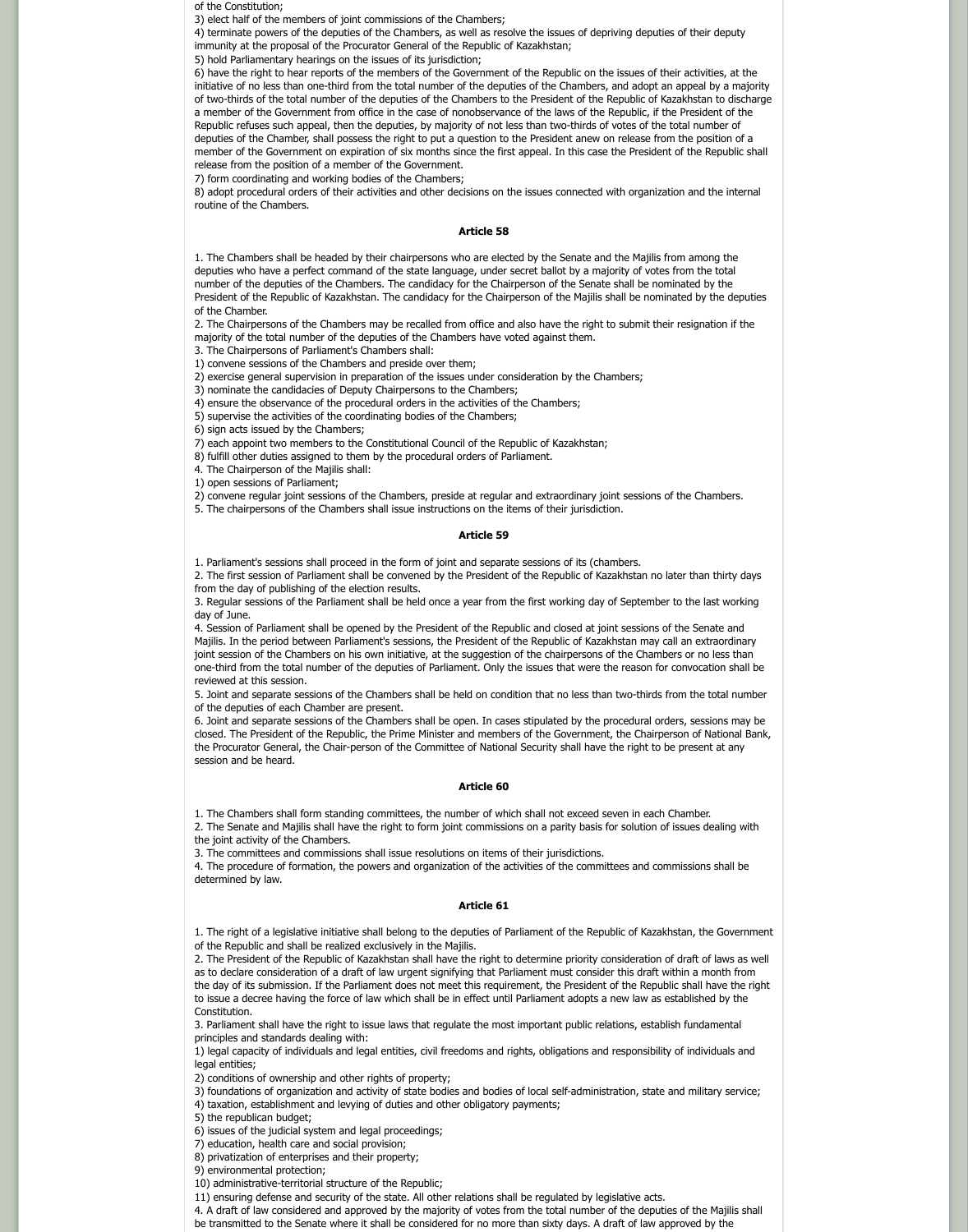of the Constitution;

3) elect half of the members of joint commissions of the Chambers;

4) terminate powers of the deputies of the Chambers, as well as resolve the issues of depriving deputies of their deputy

immunity at the proposal of the Procurator General of the Republic of Kazakhstan;

5) hold Parliamentary hearings on the issues of its jurisdiction;

6) have the right to hear reports of the members of the Government of the Republic on the issues of their activities, at the initiative of no less than one-third from the total number of the deputies of the Chambers, and adopt an appeal by a majority of two-thirds of the total number of the deputies of the Chambers to the President of the Republic of Kazakhstan to discharge a member of the Government from office in the case of nonobservance of the laws of the Republic, if the President of the Republic refuses such appeal, then the deputies, by majority of not less than two-thirds of votes of the total number of deputies of the Chamber, shall possess the right to put a question to the President anew on release from the position of a member of the Government on expiration of six months since the first appeal. In this case the President of the Republic shall release from the position of a member of the Government.

7) form coordinating and working bodies of the Chambers;

8) adopt procedural orders of their activities and other decisions on the issues connected with organization and the internal routine of the Chambers.

#### **Article 58**

1. The Chambers shall be headed by their chairpersons who are elected by the Senate and the Majilis from among the deputies who have a perfect command of the state language, under secret ballot by a majority of votes from the total number of the deputies of the Chambers. The candidacy for the Chairperson of the Senate shall be nominated by the President of the Republic of Kazakhstan. The candidacy for the Chairperson of the Majilis shall be nominated by the deputies of the Chamber.

2. The Chairpersons of the Chambers may be recalled from office and also have the right to submit their resignation if the majority of the total number of the deputies of the Chambers have voted against them.

3. The Chairpersons of Parliament's Chambers shall:

1) convene sessions of the Chambers and preside over them;

2) exercise general supervision in preparation of the issues under consideration by the Chambers;

3) nominate the candidacies of Deputy Chairpersons to the Chambers;

4) ensure the observance of the procedural orders in the activities of the Chambers;

5) supervise the activities of the coordinating bodies of the Chambers;

6) sign acts issued by the Chambers;

7) each appoint two members to the Constitutional Council of the Republic of Kazakhstan;

8) fulfill other duties assigned to them by the procedural orders of Parliament.

4. The Chairperson of the Majilis shall:

1) open sessions of Parliament;

2) convene regular joint sessions of the Chambers, preside at regular and extraordinary joint sessions of the Chambers.

1) legal capacity of individuals and legal entities, civil freedoms and rights, obligations and responsibility of individuals and legal entities;

5. The chairpersons of the Chambers shall issue instructions on the items of their jurisdiction.

#### **Article 59**

1. Parliament's sessions shall proceed in the form of joint and separate sessions of its (chambers.

2. The first session of Parliament shall be convened by the President of the Republic of Kazakhstan no later than thirty days from the day of publishing of the election results.

3. Regular sessions of the Parliament shall be held once a year from the first working day of September to the last working day of June.

4. Session of Parliament shall be opened by the President of the Republic and closed at joint sessions of the Senate and Majilis. In the period between Parliament's sessions, the President of the Republic of Kazakhstan may call an extraordinary joint session of the Chambers on his own initiative, at the suggestion of the chairpersons of the Chambers or no less than one-third from the total number of the deputies of Parliament. Only the issues that were the reason for convocation shall be reviewed at this session.

5. Joint and separate sessions of the Chambers shall be held on condition that no less than two-thirds from the total number of the deputies of each Chamber are present.

6. Joint and separate sessions of the Chambers shall be open. In cases stipulated by the procedural orders, sessions may be closed. The President of the Republic, the Prime Minister and members of the Government, the Chairperson of National Bank, the Procurator General, the Chair-person of the Committee of National Security shall have the right to be present at any session and be heard.

#### **Article 60**

1. The Chambers shall form standing committees, the number of which shall not exceed seven in each Chamber.

2. The Senate and Majilis shall have the right to form joint commissions on a parity basis for solution of issues dealing with the joint activity of the Chambers.

3. The committees and commissions shall issue resolutions on items of their jurisdictions.

4. The procedure of formation, the powers and organization of the activities of the committees and commissions shall be determined by law.

# **Article 61**

1. The right of a legislative initiative shall belong to the deputies of Parliament of the Republic of Kazakhstan, the Government of the Republic and shall be realized exclusively in the Majilis.

2. The President of the Republic of Kazakhstan shall have the right to determine priority consideration of draft of laws as well as to declare consideration of a draft of law urgent signifying that Parliament must consider this draft within a month from the day of its submission. If the Parliament does not meet this requirement, the President of the Republic shall have the right to issue a decree having the force of law which shall be in effect until Parliament adopts a new law as established by the Constitution.

3. Parliament shall have the right to issue laws that regulate the most important public relations, establish fundamental principles and standards dealing with:

2) conditions of ownership and other rights of property;

3) foundations of organization and activity of state bodies and bodies of local self-administration, state and military service;

4) taxation, establishment and levying of duties and other obligatory payments;

5) the republican budget;

6) issues of the judicial system and legal proceedings;

7) education, health care and social provision;

8) privatization of enterprises and their property;

9) environmental protection;

10) administrative-territorial structure of the Republic;

11) ensuring defense and security of the state. All other relations shall be regulated by legislative acts.

4. A draft of law considered and approved by the majority of votes from the total number of the deputies of the Majilis shall be transmitted to the Senate where it shall be considered for no more than sixty days. A draft of law approved by the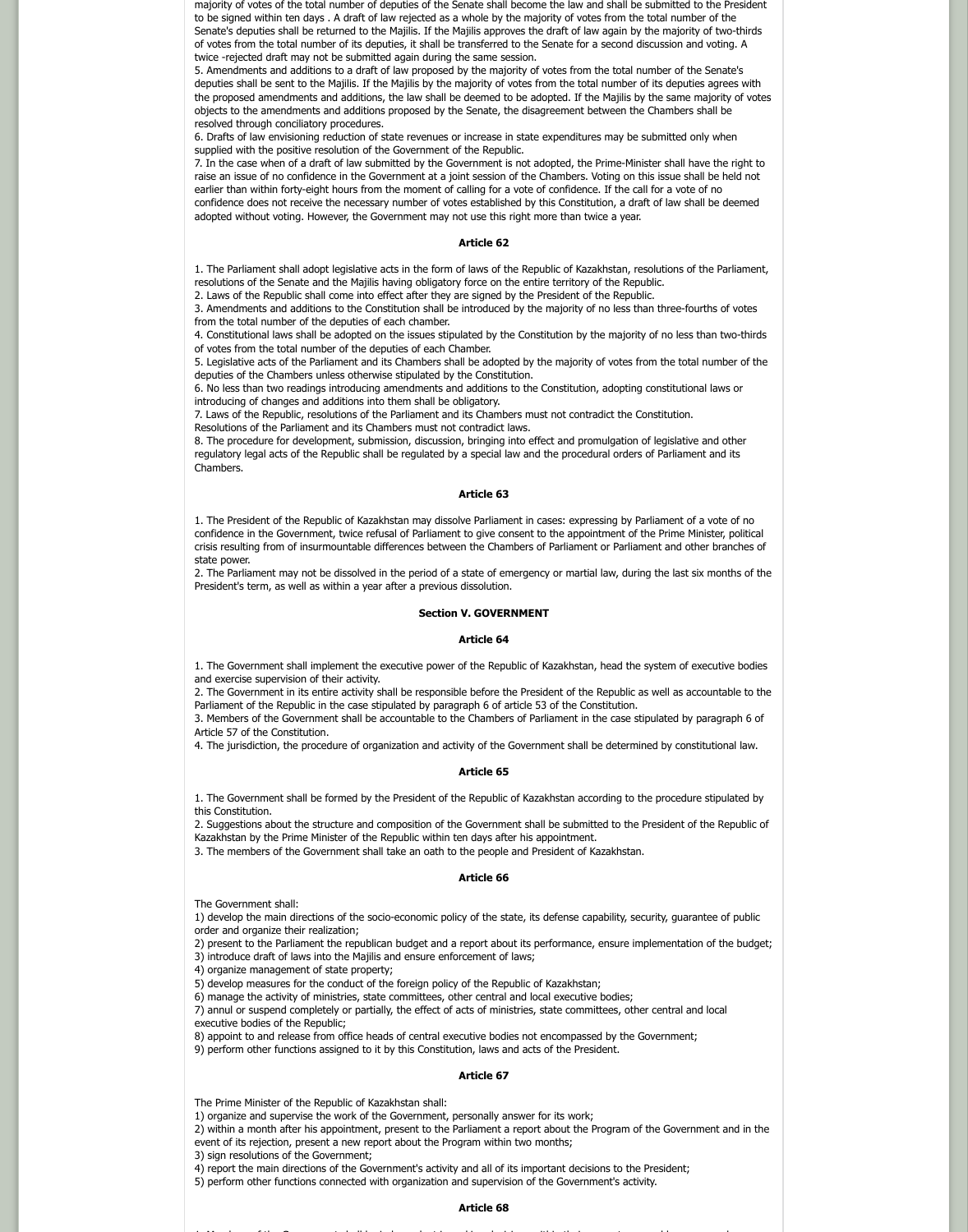majority of votes of the total number of deputies of the Senate shall become the law and shall be submitted to the President to be signed within ten days . A draft of law rejected as a whole by the majority of votes from the total number of the Senate's deputies shall be returned to the Majilis. If the Majilis approves the draft of law again by the majority of two-thirds of votes from the total number of its deputies, it shall be transferred to the Senate for a second discussion and voting. A twice -rejected draft may not be submitted again during the same session.

5. Amendments and additions to a draft of law proposed by the majority of votes from the total number of the Senate's deputies shall be sent to the Majilis. If the Majilis by the majority of votes from the total number of its deputies agrees with the proposed amendments and additions, the law shall be deemed to be adopted. If the Majilis by the same majority of votes objects to the amendments and additions proposed by the Senate, the disagreement between the Chambers shall be resolved through conciliatory procedures.

6. Drafts of law envisioning reduction of state revenues or increase in state expenditures may be submitted only when supplied with the positive resolution of the Government of the Republic.

7. In the case when of a draft of law submitted by the Government is not adopted, the Prime-Minister shall have the right to raise an issue of no confidence in the Government at a joint session of the Chambers. Voting on this issue shall be held not earlier than within forty-eight hours from the moment of calling for a vote of confidence. If the call for a vote of no confidence does not receive the necessary number of votes established by this Constitution, a draft of law shall be deemed adopted without voting. However, the Government may not use this right more than twice a year.

#### **Article 62**

1. The Parliament shall adopt legislative acts in the form of laws of the Republic of Kazakhstan, resolutions of the Parliament, resolutions of the Senate and the Majilis having obligatory force on the entire territory of the Republic.

2. Laws of the Republic shall come into effect after they are signed by the President of the Republic.

3. Amendments and additions to the Constitution shall be introduced by the majority of no less than three-fourths of votes from the total number of the deputies of each chamber.

4. Constitutional laws shall be adopted on the issues stipulated by the Constitution by the majority of no less than two-thirds of votes from the total number of the deputies of each Chamber.

5. Legislative acts of the Parliament and its Chambers shall be adopted by the majority of votes from the total number of the deputies of the Chambers unless otherwise stipulated by the Constitution.

6. No less than two readings introducing amendments and additions to the Constitution, adopting constitutional laws or introducing of changes and additions into them shall be obligatory.

7. Laws of the Republic, resolutions of the Parliament and its Chambers must not contradict the Constitution. Resolutions of the Parliament and its Chambers must not contradict laws.

8. The procedure for development, submission, discussion, bringing into effect and promulgation of legislative and other regulatory legal acts of the Republic shall be regulated by a special law and the procedural orders of Parliament and its Chambers.

#### **Article 63**

1. The President of the Republic of Kazakhstan may dissolve Parliament in cases: expressing by Parliament of a vote of no confidence in the Government, twice refusal of Parliament to give consent to the appointment of the Prime Minister, political crisis resulting from of insurmountable differences between the Chambers of Parliament or Parliament and other branches of state power.

2. The Parliament may not be dissolved in the period of a state of emergency or martial law, during the last six months of the President's term, as well as within a year after a previous dissolution.

#### **Section V. GOVERNMENT**

#### **Article 64**

1. The Government shall implement the executive power of the Republic of Kazakhstan, head the system of executive bodies and exercise supervision of their activity.

2. The Government in its entire activity shall be responsible before the President of the Republic as well as accountable to the Parliament of the Republic in the case stipulated by paragraph 6 of article 53 of the Constitution.

3. Members of the Government shall be accountable to the Chambers of Parliament in the case stipulated by paragraph 6 of Article 57 of the Constitution.

4. The jurisdiction, the procedure of organization and activity of the Government shall be determined by constitutional law.

#### **Article 65**

1. The Government shall be formed by the President of the Republic of Kazakhstan according to the procedure stipulated by this Constitution.

2. Suggestions about the structure and composition of the Government shall be submitted to the President of the Republic of Kazakhstan by the Prime Minister of the Republic within ten days after his appointment.

3. The members of the Government shall take an oath to the people and President of Kazakhstan.

# **Article 66**

The Government shall:

1) develop the main directions of the socio-economic policy of the state, its defense capability, security, guarantee of public order and organize their realization;

2) present to the Parliament the republican budget and a report about its performance, ensure implementation of the budget; 3) introduce draft of laws into the Majilis and ensure enforcement of laws;

4) organize management of state property;

5) develop measures for the conduct of the foreign policy of the Republic of Kazakhstan;

6) manage the activity of ministries, state committees, other central and local executive bodies;

7) annul or suspend completely or partially, the effect of acts of ministries, state committees, other central and local executive bodies of the Republic;

8) appoint to and release from office heads of central executive bodies not encompassed by the Government;

9) perform other functions assigned to it by this Constitution, laws and acts of the President.

# **Article 67**

The Prime Minister of the Republic of Kazakhstan shall:

1) organize and supervise the work of the Government, personally answer for its work;

2) within a month after his appointment, present to the Parliament a report about the Program of the Government and in the event of its rejection, present a new report about the Program within two months;

3) sign resolutions of the Government;

4) report the main directions of the Government's activity and all of its important decisions to the President;

5) perform other functions connected with organization and supervision of the Government's activity.

# **Article 68**

1. Members of the Government shall be independent in making decisions within their competence and bear personal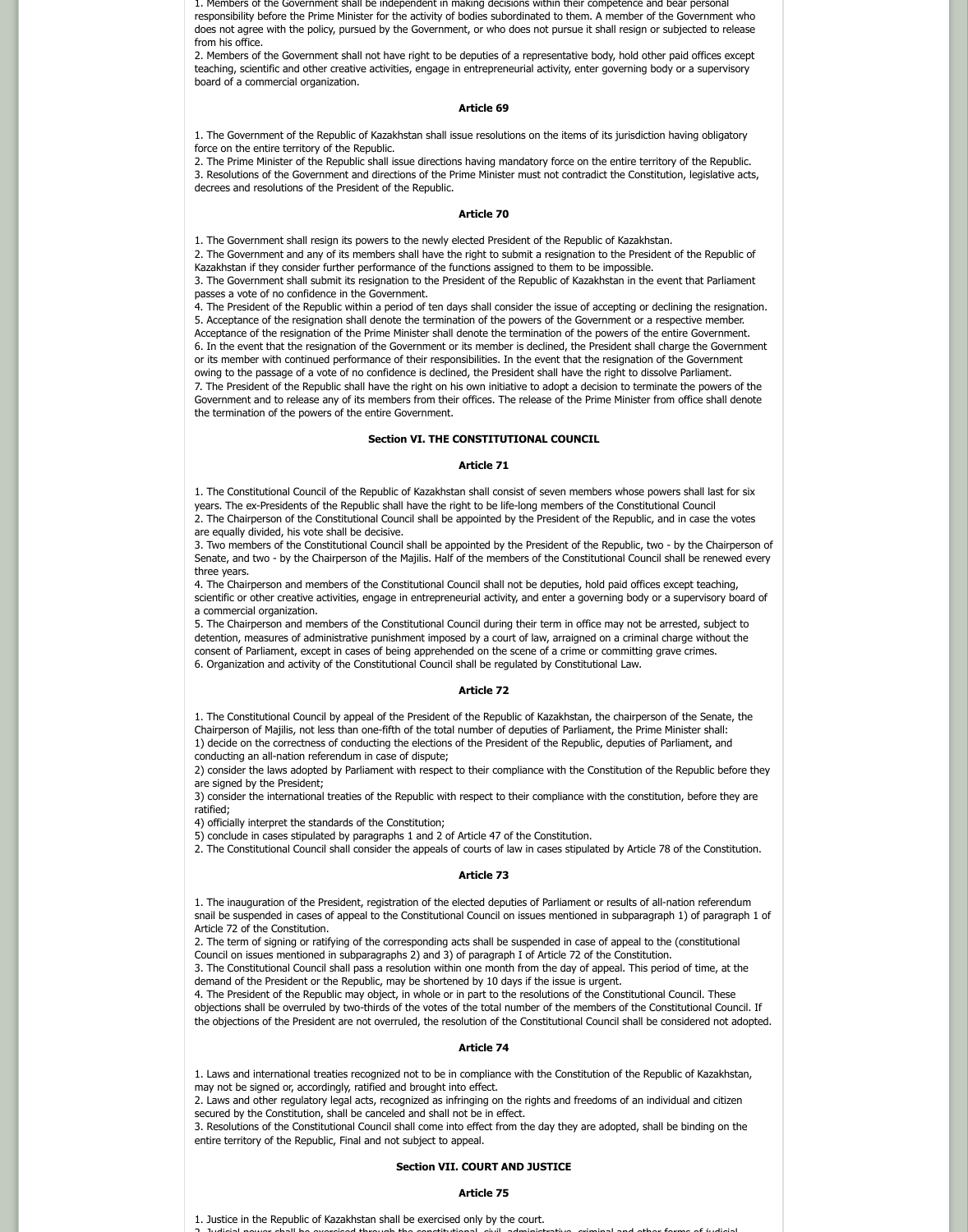1. Members of the Government shall be independent in making decisions within their competence and bear personal responsibility before the Prime Minister for the activity of bodies subordinated to them. A member of the Government who does not agree with the policy, pursued by the Government, or who does not pursue it shall resign or subjected to release from his office.

2. Members of the Government shall not have right to be deputies of a representative body, hold other paid offices except teaching, scientific and other creative activities, engage in entrepreneurial activity, enter governing body or a supervisory board of a commercial organization.

#### **Article 69**

1. The Government of the Republic of Kazakhstan shall issue resolutions on the items of its jurisdiction having obligatory force on the entire territory of the Republic.

2. The Prime Minister of the Republic shall issue directions having mandatory force on the entire territory of the Republic. 3. Resolutions of the Government and directions of the Prime Minister must not contradict the Constitution, legislative acts, decrees and resolutions of the President of the Republic.

# **Article 70**

1. The Government shall resign its powers to the newly elected President of the Republic of Kazakhstan.

2. The Government and any of its members shall have the right to submit a resignation to the President of the Republic of Kazakhstan if they consider further performance of the functions assigned to them to be impossible.

3. The Government shall submit its resignation to the President of the Republic of Kazakhstan in the event that Parliament passes a vote of no confidence in the Government.

4. The President of the Republic within a period of ten days shall consider the issue of accepting or declining the resignation. 5. Acceptance of the resignation shall denote the termination of the powers of the Government or a respective member. Acceptance of the resignation of the Prime Minister shall denote the termination of the powers of the entire Government. 6. In the event that the resignation of the Government or its member is declined, the President shall charge the Government or its member with continued performance of their responsibilities. In the event that the resignation of the Government owing to the passage of a vote of no confidence is declined, the President shall have the right to dissolve Parliament. 7. The President of the Republic shall have the right on his own initiative to adopt a decision to terminate the powers of the Government and to release any of its members from their offices. The release of the Prime Minister from office shall denote the termination of the powers of the entire Government.

# **Section VI. THE CONSTITUTIONAL COUNCIL**

#### **Article 71**

1. The Constitutional Council of the Republic of Kazakhstan shall consist of seven members whose powers shall last for six years. The ex-Presidents of the Republic shall have the right to be life-long members of the Constitutional Council 2. The Chairperson of the Constitutional Council shall be appointed by the President of the Republic, and in case the votes are equally divided, his vote shall be decisive.

3. Two members of the Constitutional Council shall be appointed by the President of the Republic, two - by the Chairperson of Senate, and two - by the Chairperson of the Majilis. Half of the members of the Constitutional Council shall be renewed every three years.

4. The Chairperson and members of the Constitutional Council shall not be deputies, hold paid offices except teaching, scientific or other creative activities, engage in entrepreneurial activity, and enter a governing body or a supervisory board of a commercial organization.

5. The Chairperson and members of the Constitutional Council during their term in office may not be arrested, subject to detention, measures of administrative punishment imposed by a court of law, arraigned on a criminal charge without the consent of Parliament, except in cases of being apprehended on the scene of a crime or committing grave crimes. 6. Organization and activity of the Constitutional Council shall be regulated by Constitutional Law.

#### **Article 72**

1. The Constitutional Council by appeal of the President of the Republic of Kazakhstan, the chairperson of the Senate, the Chairperson of Majilis, not less than one-fifth of the total number of deputies of Parliament, the Prime Minister shall: 1) decide on the correctness of conducting the elections of the President of the Republic, deputies of Parliament, and conducting an all-nation referendum in case of dispute;

2) consider the laws adopted by Parliament with respect to their compliance with the Constitution of the Republic before they are signed by the President;

3) consider the international treaties of the Republic with respect to their compliance with the constitution, before they are ratified;

4) officially interpret the standards of the Constitution;

5) conclude in cases stipulated by paragraphs 1 and 2 of Article 47 of the Constitution.

2. The Constitutional Council shall consider the appeals of courts of law in cases stipulated by Article 78 of the Constitution.

#### **Article 73**

1. The inauguration of the President, registration of the elected deputies of Parliament or results of all-nation referendum snail be suspended in cases of appeal to the Constitutional Council on issues mentioned in subparagraph 1) of paragraph 1 of Article 72 of the Constitution.

2. The term of signing or ratifying of the corresponding acts shall be suspended in case of appeal to the (constitutional Council on issues mentioned in subparagraphs 2) and 3) of paragraph I of Article 72 of the Constitution.

3. The Constitutional Council shall pass a resolution within one month from the day of appeal. This period of time, at the demand of the President or the Republic, may be shortened by 10 days if the issue is urgent.

4. The President of the Republic may object, in whole or in part to the resolutions of the Constitutional Council. These objections shall be overruled by two-thirds of the votes of the total number of the members of the Constitutional Council. If the objections of the President are not overruled, the resolution of the Constitutional Council shall be considered not adopted.

# **Article 74**

1. Laws and international treaties recognized not to be in compliance with the Constitution of the Republic of Kazakhstan, may not be signed or, accordingly, ratified and brought into effect.

2. Laws and other regulatory legal acts, recognized as infringing on the rights and freedoms of an individual and citizen secured by the Constitution, shall be canceled and shall not be in effect.

3. Resolutions of the Constitutional Council shall come into effect from the day they are adopted, shall be binding on the entire territory of the Republic, Final and not subject to appeal.

## **Section VII. COURT AND JUSTICE**

# **Article 75**

1. Justice in the Republic of Kazakhstan shall be exercised only by the court.

2. Judicial power shall be exercised through the constitutional, civil, administrative, criminal and other forms of judicial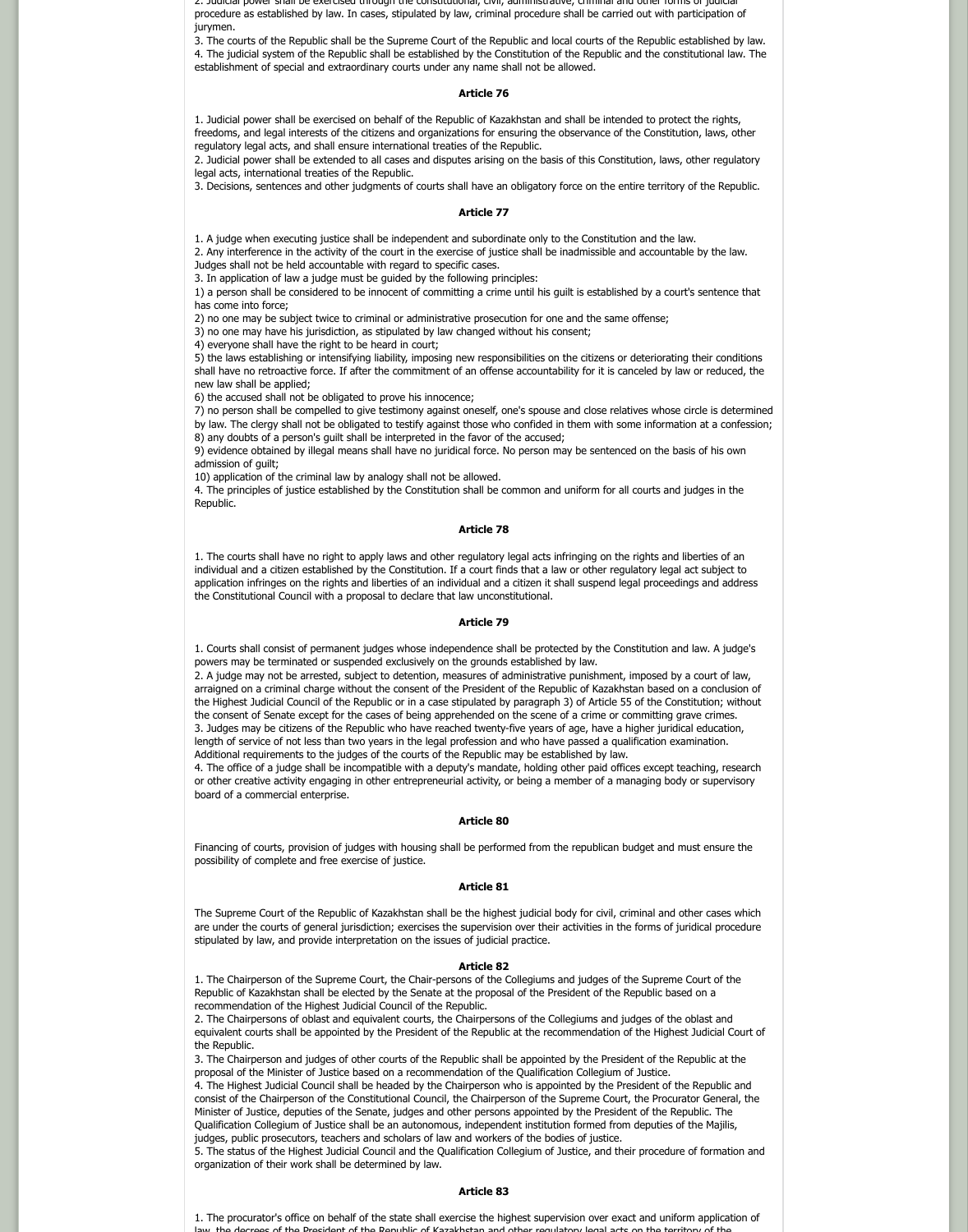2. Judicial power shall be exercised through the constitutional, civil, administrative, criminal and other forms of judicial procedure as established by law. In cases, stipulated by law, criminal procedure shall be carried out with participation of jurymen.

3. The courts of the Republic shall be the Supreme Court of the Republic and local courts of the Republic established by law. 4. The judicial system of the Republic shall be established by the Constitution of the Republic and the constitutional law. The establishment of special and extraordinary courts under any name shall not be allowed.

#### **Article 76**

1. Judicial power shall be exercised on behalf of the Republic of Kazakhstan and shall be intended to protect the rights, freedoms, and legal interests of the citizens and organizations for ensuring the observance of the Constitution, laws, other regulatory legal acts, and shall ensure international treaties of the Republic.

2. Judicial power shall be extended to all cases and disputes arising on the basis of this Constitution, laws, other regulatory legal acts, international treaties of the Republic.

3. Decisions, sentences and other judgments of courts shall have an obligatory force on the entire territory of the Republic.

#### **Article 77**

1. A judge when executing justice shall be independent and subordinate only to the Constitution and the law.

2. Any interference in the activity of the court in the exercise of justice shall be inadmissible and accountable by the law. Judges shall not be held accountable with regard to specific cases.

3. In application of law a judge must be guided by the following principles:

1) a person shall be considered to be innocent of committing a crime until his guilt is established by a court's sentence that has come into force;

2) no one may be subject twice to criminal or administrative prosecution for one and the same offense;

3) no one may have his jurisdiction, as stipulated by law changed without his consent;

4) everyone shall have the right to be heard in court;

5) the laws establishing or intensifying liability, imposing new responsibilities on the citizens or deteriorating their conditions shall have no retroactive force. If after the commitment of an offense accountability for it is canceled by law or reduced, the new law shall be applied;

6) the accused shall not be obligated to prove his innocence;

7) no person shall be compelled to give testimony against oneself, one's spouse and close relatives whose circle is determined by law. The clergy shall not be obligated to testify against those who confided in them with some information at a confession; 8) any doubts of a person's guilt shall be interpreted in the favor of the accused;

9) evidence obtained by illegal means shall have no juridical force. No person may be sentenced on the basis of his own admission of guilt;

10) application of the criminal law by analogy shall not be allowed.

4. The principles of justice established by the Constitution shall be common and uniform for all courts and judges in the Republic.

#### **Article 78**

1. The courts shall have no right to apply laws and other regulatory legal acts infringing on the rights and liberties of an individual and a citizen established by the Constitution. If a court finds that a law or other regulatory legal act subject to application infringes on the rights and liberties of an individual and a citizen it shall suspend legal proceedings and address the Constitutional Council with a proposal to declare that law unconstitutional.

#### **Article 79**

1. Courts shall consist of permanent judges whose independence shall be protected by the Constitution and law. A judge's powers may be terminated or suspended exclusively on the grounds established by law.

2. A judge may not be arrested, subject to detention, measures of administrative punishment, imposed by a court of law, arraigned on a criminal charge without the consent of the President of the Republic of Kazakhstan based on a conclusion of the Highest Judicial Council of the Republic or in a case stipulated by paragraph 3) of Article 55 of the Constitution; without the consent of Senate except for the cases of being apprehended on the scene of a crime or committing grave crimes. 3. Judges may be citizens of the Republic who have reached twenty-five years of age, have a higher juridical education, length of service of not less than two years in the legal profession and who have passed a qualification examination. Additional requirements to the judges of the courts of the Republic may be established by law.

4. The office of a judge shall be incompatible with a deputy's mandate, holding other paid offices except teaching, research or other creative activity engaging in other entrepreneurial activity, or being a member of a managing body or supervisory board of a commercial enterprise.

#### **Article 80**

Financing of courts, provision of judges with housing shall be performed from the republican budget and must ensure the

possibility of complete and free exercise of justice.

# **Article 81**

The Supreme Court of the Republic of Kazakhstan shall be the highest judicial body for civil, criminal and other cases which are under the courts of general jurisdiction; exercises the supervision over their activities in the forms of juridical procedure stipulated by law, and provide interpretation on the issues of judicial practice.

## **Article 82**

1. The Chairperson of the Supreme Court, the Chair-persons of the Collegiums and judges of the Supreme Court of the Republic of Kazakhstan shall be elected by the Senate at the proposal of the President of the Republic based on a recommendation of the Highest Judicial Council of the Republic.

2. The Chairpersons of oblast and equivalent courts, the Chairpersons of the Collegiums and judges of the oblast and equivalent courts shall be appointed by the President of the Republic at the recommendation of the Highest Judicial Court of the Republic.

3. The Chairperson and judges of other courts of the Republic shall be appointed by the President of the Republic at the proposal of the Minister of Justice based on a recommendation of the Qualification Collegium of Justice.

4. The Highest Judicial Council shall be headed by the Chairperson who is appointed by the President of the Republic and consist of the Chairperson of the Constitutional Council, the Chairperson of the Supreme Court, the Procurator General, the Minister of Justice, deputies of the Senate, judges and other persons appointed by the President of the Republic. The Qualification Collegium of Justice shall be an autonomous, independent institution formed from deputies of the Majilis, judges, public prosecutors, teachers and scholars of law and workers of the bodies of justice.

5. The status of the Highest Judicial Council and the Qualification Collegium of Justice, and their procedure of formation and organization of their work shall be determined by law.

# **Article 83**

1. The procurator's office on behalf of the state shall exercise the highest supervision over exact and uniform application of law, the decrees of the President of the Republic of Kazakhstan and other regulatory legal acts on the territory of the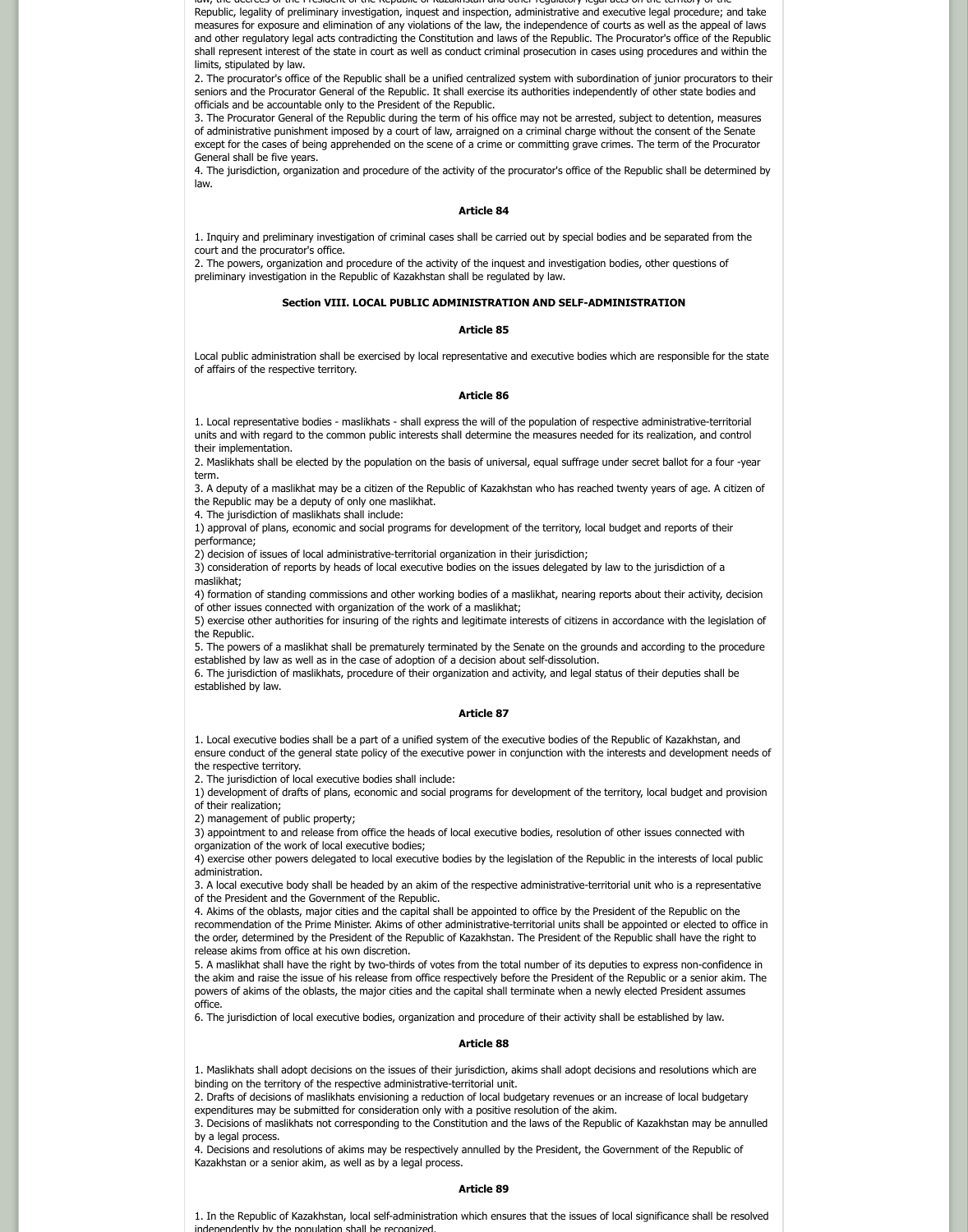law, the decrees of the President of the Republic of Kazakhstan and other regulatory legal acts on the territory of the Republic, legality of preliminary investigation, inquest and inspection, administrative and executive legal procedure; and take measures for exposure and elimination of any violations of the law, the independence of courts as well as the appeal of laws and other regulatory legal acts contradicting the Constitution and laws of the Republic. The Procurator's office of the Republic shall represent interest of the state in court as well as conduct criminal prosecution in cases using procedures and within the limits, stipulated by law.

2. The procurator's office of the Republic shall be a unified centralized system with subordination of junior procurators to their seniors and the Procurator General of the Republic. It shall exercise its authorities independently of other state bodies and officials and be accountable only to the President of the Republic.

3. The Procurator General of the Republic during the term of his office may not be arrested, subject to detention, measures of administrative punishment imposed by a court of law, arraigned on a criminal charge without the consent of the Senate except for the cases of being apprehended on the scene of a crime or committing grave crimes. The term of the Procurator General shall be five years.

4. The jurisdiction, organization and procedure of the activity of the procurator's office of the Republic shall be determined by law.

#### **Article 84**

1. Inquiry and preliminary investigation of criminal cases shall be carried out by special bodies and be separated from the court and the procurator's office.

2. The powers, organization and procedure of the activity of the inquest and investigation bodies, other questions of preliminary investigation in the Republic of Kazakhstan shall be regulated by law.

#### **Section VIII. LOCAL PUBLIC ADMINISTRATION AND SELF-ADMINISTRATION**

#### **Article 85**

Local public administration shall be exercised by local representative and executive bodies which are responsible for the state of affairs of the respective territory.

#### **Article 86**

1. Local representative bodies - maslikhats - shall express the will of the population of respective administrative-territorial units and with regard to the common public interests shall determine the measures needed for its realization, and control their implementation.

2. Maslikhats shall be elected by the population on the basis of universal, equal suffrage under secret ballot for a four -year term.

3. A deputy of a maslikhat may be a citizen of the Republic of Kazakhstan who has reached twenty years of age. A citizen of the Republic may be a deputy of only one maslikhat.

4. The jurisdiction of maslikhats shall include:

1) approval of plans, economic and social programs for development of the territory, local budget and reports of their performance;

2) decision of issues of local administrative-territorial organization in their jurisdiction;

3) consideration of reports by heads of local executive bodies on the issues delegated by law to the jurisdiction of a maslikhat;

4) formation of standing commissions and other working bodies of a maslikhat, nearing reports about their activity, decision of other issues connected with organization of the work of a maslikhat;

1. In the Republic of Kazakhstan, local self-administration which ensures that the issues of local significance shall be resolved independently by the population shall be recognized.

5) exercise other authorities for insuring of the rights and legitimate interests of citizens in accordance with the legislation of the Republic.

5. The powers of a maslikhat shall be prematurely terminated by the Senate on the grounds and according to the procedure established by law as well as in the case of adoption of a decision about self-dissolution.

6. The jurisdiction of maslikhats, procedure of their organization and activity, and legal status of their deputies shall be established by law.

#### **Article 87**

1. Local executive bodies shall be a part of a unified system of the executive bodies of the Republic of Kazakhstan, and ensure conduct of the general state policy of the executive power in conjunction with the interests and development needs of the respective territory.

2. The jurisdiction of local executive bodies shall include:

1) development of drafts of plans, economic and social programs for development of the territory, local budget and provision of their realization;

2) management of public property;

3) appointment to and release from office the heads of local executive bodies, resolution of other issues connected with organization of the work of local executive bodies;

4) exercise other powers delegated to local executive bodies by the legislation of the Republic in the interests of local public administration.

3. A local executive body shall be headed by an akim of the respective administrative-territorial unit who is a representative of the President and the Government of the Republic.

4. Akims of the oblasts, major cities and the capital shall be appointed to office by the President of the Republic on the recommendation of the Prime Minister. Akims of other administrative-territorial units shall be appointed or elected to office in the order, determined by the President of the Republic of Kazakhstan. The President of the Republic shall have the right to release akims from office at his own discretion.

5. A maslikhat shall have the right by two-thirds of votes from the total number of its deputies to express non-confidence in the akim and raise the issue of his release from office respectively before the President of the Republic or a senior akim. The powers of akims of the oblasts, the major cities and the capital shall terminate when a newly elected President assumes office.

6. The jurisdiction of local executive bodies, organization and procedure of their activity shall be established by law.

#### **Article 88**

1. Maslikhats shall adopt decisions on the issues of their jurisdiction, akims shall adopt decisions and resolutions which are binding on the territory of the respective administrative-territorial unit.

2. Drafts of decisions of maslikhats envisioning a reduction of local budgetary revenues or an increase of local budgetary expenditures may be submitted for consideration only with a positive resolution of the akim.

3. Decisions of maslikhats not corresponding to the Constitution and the laws of the Republic of Kazakhstan may be annulled by a legal process.

4. Decisions and resolutions of akims may be respectively annulled by the President, the Government of the Republic of Kazakhstan or a senior akim, as well as by a legal process.

#### **Article 89**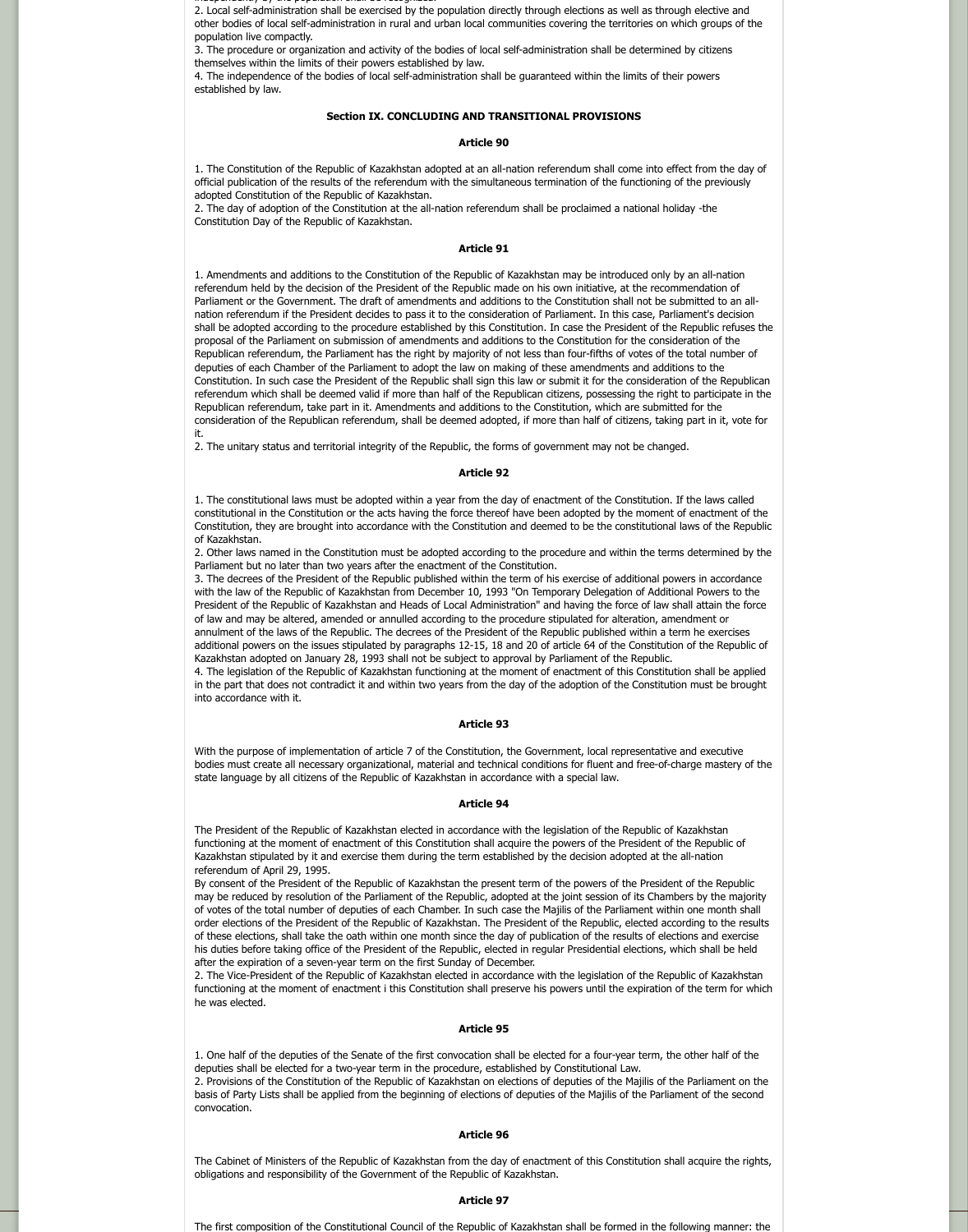$i$ independently by the population shall be recognized.

2. Local self-administration shall be exercised by the population directly through elections as well as through elective and other bodies of local self-administration in rural and urban local communities covering the territories on which groups of the population live compactly.

3. The procedure or organization and activity of the bodies of local self-administration shall be determined by citizens themselves within the limits of their powers established by law.

4. The independence of the bodies of local self-administration shall be guaranteed within the limits of their powers established by law.

#### **Section IX. CONCLUDING AND TRANSITIONAL PROVISIONS**

#### **Article 90**

1. The Constitution of the Republic of Kazakhstan adopted at an all-nation referendum shall come into effect from the day of official publication of the results of the referendum with the simultaneous termination of the functioning of the previously adopted Constitution of the Republic of Kazakhstan.

2. The day of adoption of the Constitution at the all-nation referendum shall be proclaimed a national holiday -the Constitution Day of the Republic of Kazakhstan.

#### **Article 91**

1. Amendments and additions to the Constitution of the Republic of Kazakhstan may be introduced only by an all-nation referendum held by the decision of the President of the Republic made on his own initiative, at the recommendation of Parliament or the Government. The draft of amendments and additions to the Constitution shall not be submitted to an allnation referendum if the President decides to pass it to the consideration of Parliament. In this case, Parliament's decision shall be adopted according to the procedure established by this Constitution. In case the President of the Republic refuses the proposal of the Parliament on submission of amendments and additions to the Constitution for the consideration of the Republican referendum, the Parliament has the right by majority of not less than four-fifths of votes of the total number of deputies of each Chamber of the Parliament to adopt the law on making of these amendments and additions to the Constitution. In such case the President of the Republic shall sign this law or submit it for the consideration of the Republican referendum which shall be deemed valid if more than half of the Republican citizens, possessing the right to participate in the Republican referendum, take part in it. Amendments and additions to the Constitution, which are submitted for the consideration of the Republican referendum, shall be deemed adopted, if more than half of citizens, taking part in it, vote for it.

2. The unitary status and territorial integrity of the Republic, the forms of government may not be changed.

#### **Article 92**

1. The constitutional laws must be adopted within a year from the day of enactment of the Constitution. If the laws called constitutional in the Constitution or the acts having the force thereof have been adopted by the moment of enactment of the Constitution, they are brought into accordance with the Constitution and deemed to be the constitutional laws of the Republic of Kazakhstan.

2. Other laws named in the Constitution must be adopted according to the procedure and within the terms determined by the Parliament but no later than two years after the enactment of the Constitution.

3. The decrees of the President of the Republic published within the term of his exercise of additional powers in accordance with the law of the Republic of Kazakhstan from December 10, 1993 "On Temporary Delegation of Additional Powers to the President of the Republic of Kazakhstan and Heads of Local Administration" and having the force of law shall attain the force of law and may be altered, amended or annulled according to the procedure stipulated for alteration, amendment or

annulment of the laws of the Republic. The decrees of the President of the Republic published within a term he exercises additional powers on the issues stipulated by paragraphs 12-15, 18 and 20 of article 64 of the Constitution of the Republic of Kazakhstan adopted on January 28, 1993 shall not be subject to approval by Parliament of the Republic.

4. The legislation of the Republic of Kazakhstan functioning at the moment of enactment of this Constitution shall be applied in the part that does not contradict it and within two years from the day of the adoption of the Constitution must be brought into accordance with it.

#### **Article 93**

With the purpose of implementation of article 7 of the Constitution, the Government, local representative and executive bodies must create all necessary organizational, material and technical conditions for fluent and free-of-charge mastery of the state language by all citizens of the Republic of Kazakhstan in accordance with a special law.

#### **Article 94**

The President of the Republic of Kazakhstan elected in accordance with the legislation of the Republic of Kazakhstan functioning at the moment of enactment of this Constitution shall acquire the powers of the President of the Republic of

Kazakhstan stipulated by it and exercise them during the term established by the decision adopted at the all-nation referendum of April 29, 1995.

By consent of the President of the Republic of Kazakhstan the present term of the powers of the President of the Republic may be reduced by resolution of the Parliament of the Republic, adopted at the joint session of its Chambers by the majority of votes of the total number of deputies of each Chamber. In such case the Majilis of the Parliament within one month shall order elections of the President of the Republic of Kazakhstan. The President of the Republic, elected according to the results of these elections, shall take the oath within one month since the day of publication of the results of elections and exercise his duties before taking office of the President of the Republic, elected in regular Presidential elections, which shall be held after the expiration of a seven-year term on the first Sunday of December.

2. The Vice-President of the Republic of Kazakhstan elected in accordance with the legislation of the Republic of Kazakhstan functioning at the moment of enactment i this Constitution shall preserve his powers until the expiration of the term for which he was elected.

#### **Article 95**

1. One half of the deputies of the Senate of the first convocation shall be elected for a four-year term, the other half of the deputies shall be elected for a two-year term in the procedure, established by Constitutional Law. 2. Provisions of the Constitution of the Republic of Kazakhstan on elections of deputies of the Majilis of the Parliament on the basis of Party Lists shall be applied from the beginning of elections of deputies of the Majilis of the Parliament of the second convocation.

#### **Article 96**

The Cabinet of Ministers of the Republic of Kazakhstan from the day of enactment of this Constitution shall acquire the rights, obligations and responsibility of the Government of the Republic of Kazakhstan.

# **Article 97**

The first composition of the Constitutional Council of the Republic of Kazakhstan shall be formed in the following manner: the